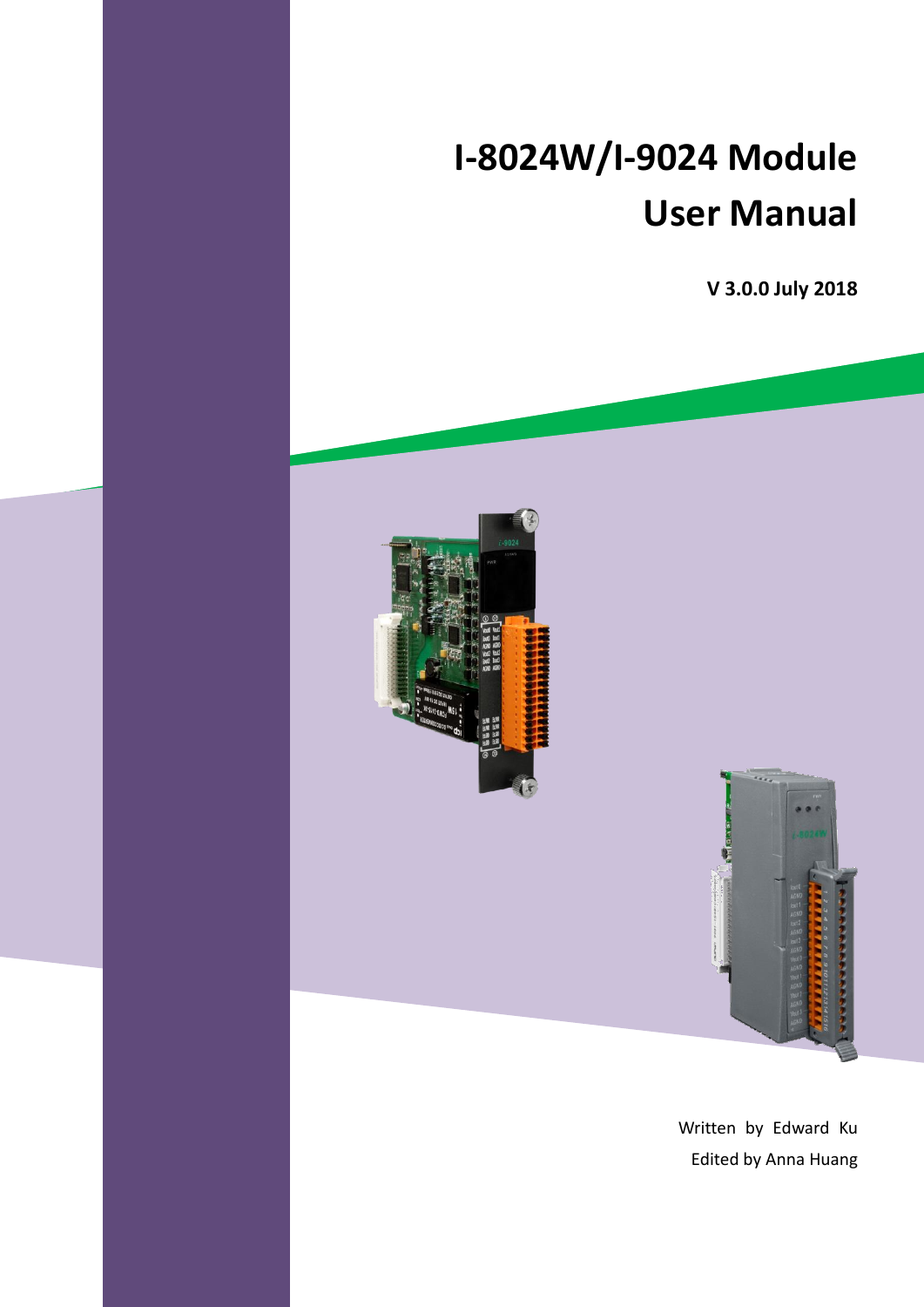# **I-8024W/I-9024 Module User Manual**

**V 3.0.0 July 2018**





Written by Edward Ku Edited by Anna Huang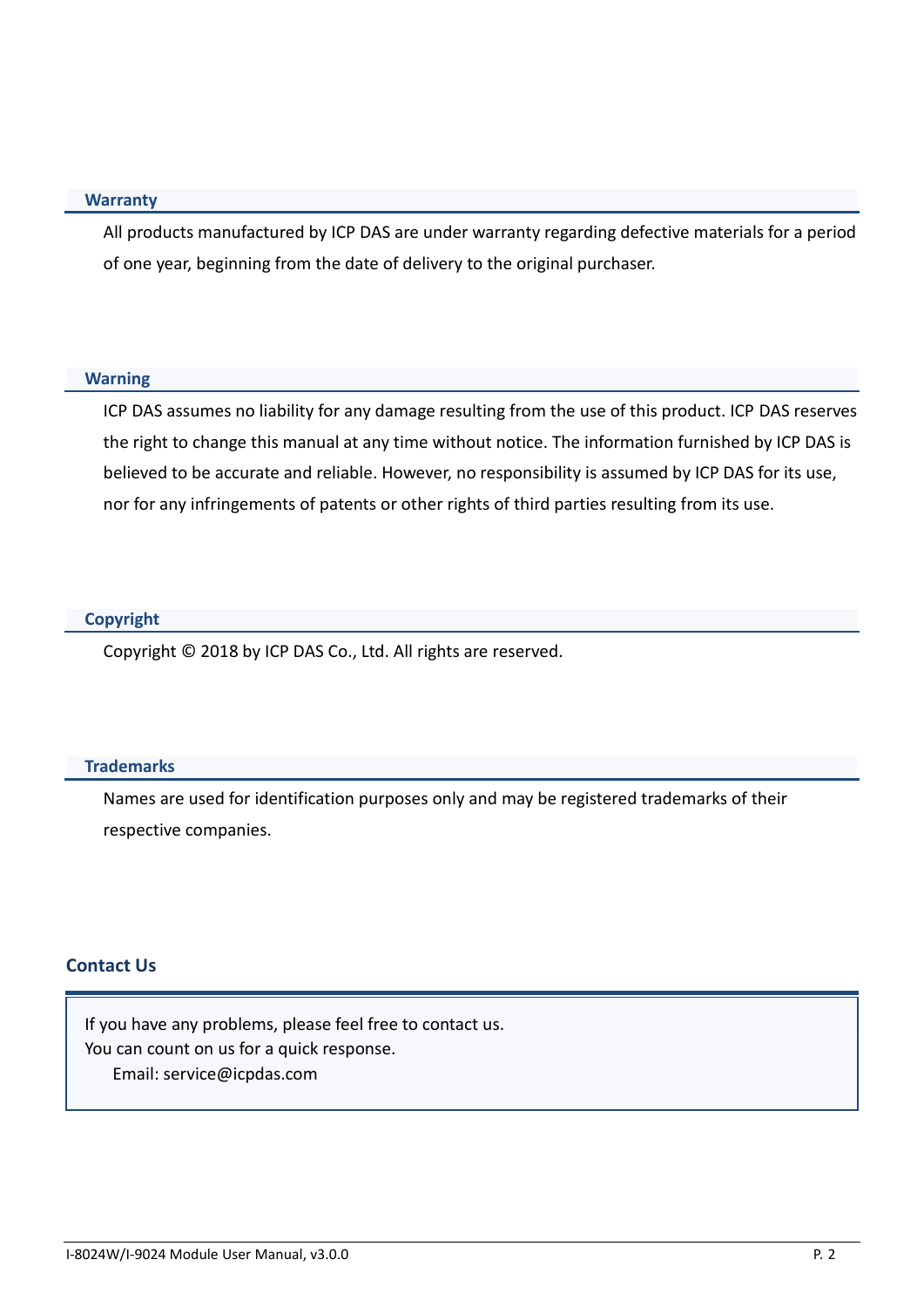#### **Warranty**

All products manufactured by ICP DAS are under warranty regarding defective materials for a period of one year, beginning from the date of delivery to the original purchaser.

#### **Warning**

ICP DAS assumes no liability for any damage resulting from the use of this product. ICP DAS reserves the right to change this manual at any time without notice. The information furnished by ICP DAS is believed to be accurate and reliable. However, no responsibility is assumed by ICP DAS for its use, nor for any infringements of patents or other rights of third parties resulting from its use.

#### **Copyright**

Copyright © 2018 by ICP DAS Co., Ltd. All rights are reserved.

#### **Trademarks**

Names are used for identification purposes only and may be registered trademarks of their respective companies.

#### **Contact Us**

If you have any problems, please feel free to contact us. You can count on us for a quick response. Email: service@icpdas.com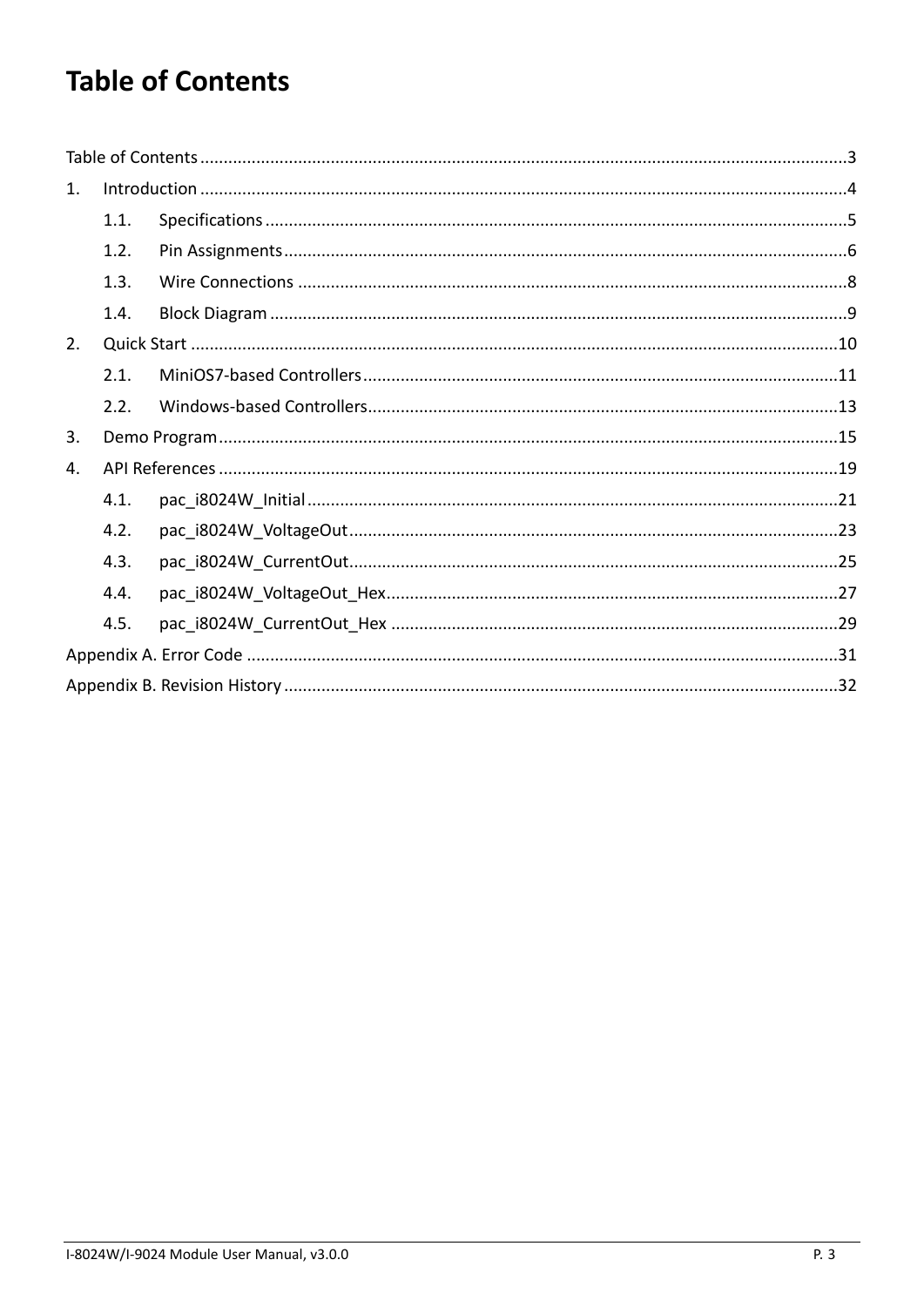# <span id="page-2-0"></span>**Table of Contents**

| 1. |      |  |  |  |  |  |
|----|------|--|--|--|--|--|
|    | 1.1. |  |  |  |  |  |
|    | 1.2. |  |  |  |  |  |
|    | 1.3. |  |  |  |  |  |
|    | 1.4. |  |  |  |  |  |
| 2. |      |  |  |  |  |  |
|    | 2.1. |  |  |  |  |  |
|    | 2.2. |  |  |  |  |  |
| 3. |      |  |  |  |  |  |
| 4. |      |  |  |  |  |  |
|    | 4.1. |  |  |  |  |  |
|    | 4.2. |  |  |  |  |  |
|    | 4.3. |  |  |  |  |  |
|    | 4.4. |  |  |  |  |  |
|    | 4.5. |  |  |  |  |  |
|    |      |  |  |  |  |  |
|    |      |  |  |  |  |  |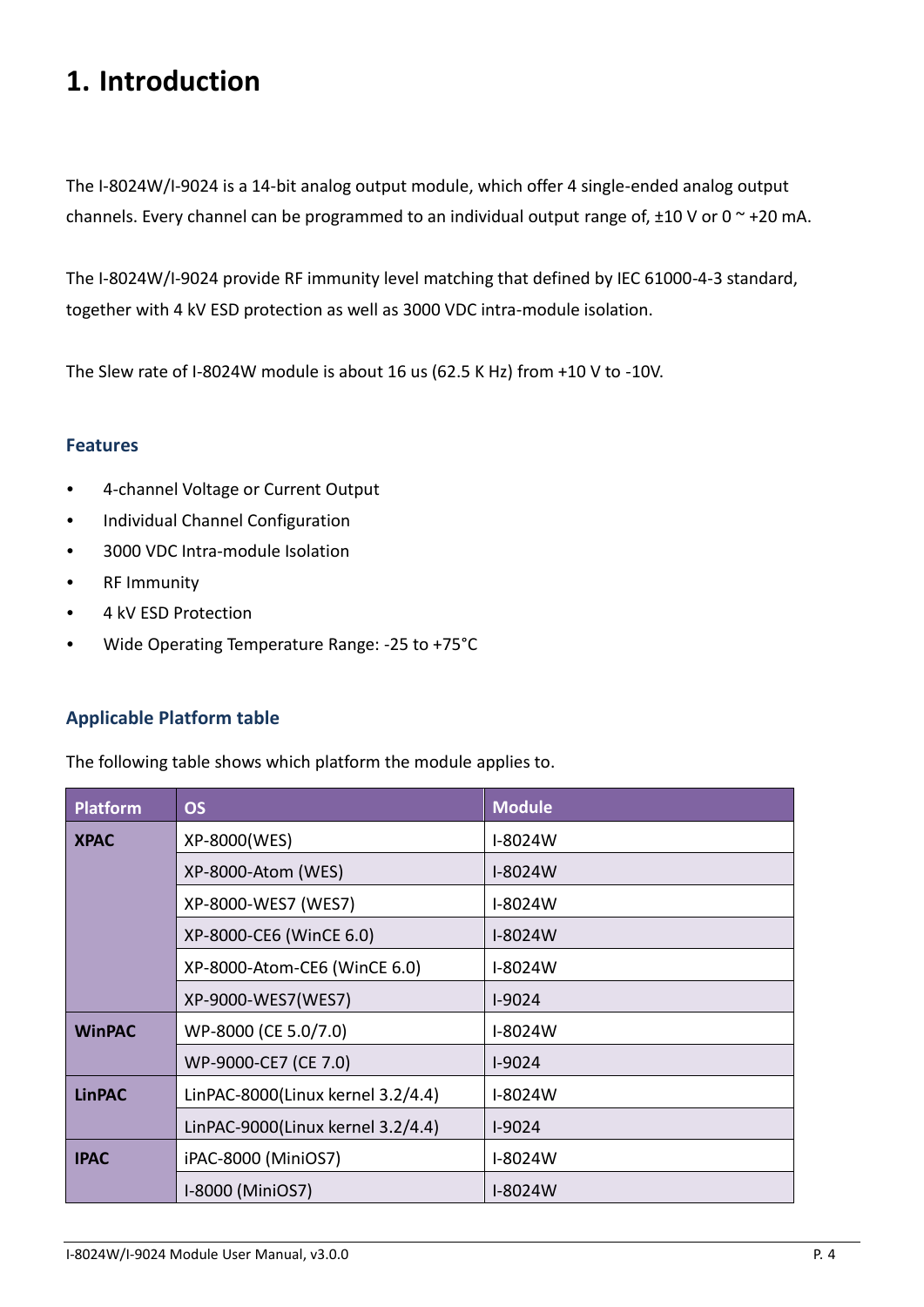# <span id="page-3-0"></span>**1. Introduction**

The I-8024W/I-9024 is a 14-bit analog output module, which offer 4 single-ended analog output channels. Every channel can be programmed to an individual output range of,  $\pm 10$  V or 0  $\degree$  +20 mA.

The I-8024W/I-9024 provide RF immunity level matching that defined by IEC 61000-4-3 standard, together with 4 kV ESD protection as well as 3000 VDC intra-module isolation.

The Slew rate of I-8024W module is about 16 us (62.5 K Hz) from +10 V to -10V.

### **Features**

- 4-channel Voltage or Current Output
- Individual Channel Configuration
- 3000 VDC Intra-module Isolation
- RF Immunity
- 4 kV ESD Protection
- Wide Operating Temperature Range: -25 to +75°C

### **Applicable Platform table**

The following table shows which platform the module applies to.

| <b>Platform</b> | <b>OS</b>                         | <b>Module</b> |
|-----------------|-----------------------------------|---------------|
| <b>XPAC</b>     | XP-8000(WES)                      | I-8024W       |
|                 | XP-8000-Atom (WES)                | I-8024W       |
|                 | XP-8000-WES7 (WES7)               | I-8024W       |
|                 | XP-8000-CE6 (WinCE 6.0)           | I-8024W       |
|                 | XP-8000-Atom-CE6 (WinCE 6.0)      | I-8024W       |
|                 | XP-9000-WES7(WES7)                | $I-9024$      |
| <b>WinPAC</b>   | WP-8000 (CE 5.0/7.0)              | I-8024W       |
|                 | WP-9000-CE7 (CE 7.0)              | $I-9024$      |
| <b>LinPAC</b>   | LinPAC-8000(Linux kernel 3.2/4.4) | I-8024W       |
|                 | LinPAC-9000(Linux kernel 3.2/4.4) | $I-9024$      |
| <b>IPAC</b>     | iPAC-8000 (MiniOS7)               | I-8024W       |
|                 | I-8000 (MiniOS7)                  | I-8024W       |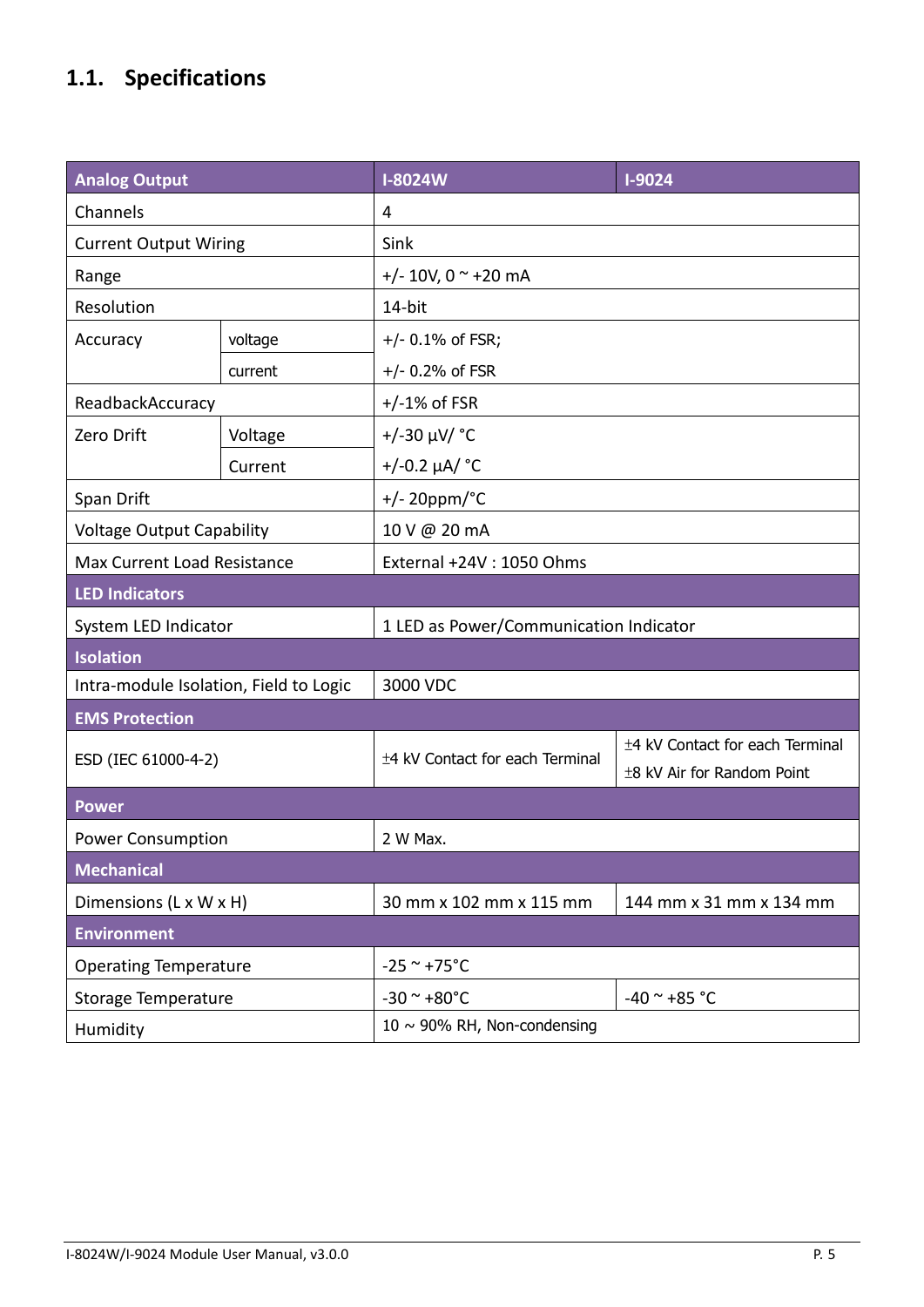# <span id="page-4-0"></span>**1.1. Specifications**

| <b>Analog Output</b>                   |         | <b>I-8024W</b>                         | $I-9024$                                                      |  |
|----------------------------------------|---------|----------------------------------------|---------------------------------------------------------------|--|
| Channels                               |         | 4                                      |                                                               |  |
| <b>Current Output Wiring</b>           |         | Sink                                   |                                                               |  |
| Range                                  |         | +/- 10V, 0 $\sim$ +20 mA               |                                                               |  |
| Resolution                             |         | 14-bit                                 |                                                               |  |
| Accuracy                               | voltage | $+/- 0.1\%$ of FSR;                    |                                                               |  |
|                                        | current | $+/- 0.2%$ of FSR                      |                                                               |  |
| ReadbackAccuracy                       |         | $+/-1\%$ of FSR                        |                                                               |  |
| Zero Drift                             | Voltage | $+/-30 \mu V/$ °C                      |                                                               |  |
|                                        | Current | $+/-0.2 \mu A/$ °C                     |                                                               |  |
| Span Drift                             |         | $+/- 20$ ppm/°C                        |                                                               |  |
| <b>Voltage Output Capability</b>       |         | 10 V @ 20 mA                           |                                                               |  |
| Max Current Load Resistance            |         | External +24V: 1050 Ohms               |                                                               |  |
| <b>LED Indicators</b>                  |         |                                        |                                                               |  |
| System LED Indicator                   |         | 1 LED as Power/Communication Indicator |                                                               |  |
| <b>Isolation</b>                       |         |                                        |                                                               |  |
| Intra-module Isolation, Field to Logic |         | 3000 VDC                               |                                                               |  |
| <b>EMS Protection</b>                  |         |                                        |                                                               |  |
| ESD (IEC 61000-4-2)                    |         | ±4 kV Contact for each Terminal        | ±4 kV Contact for each Terminal<br>±8 kV Air for Random Point |  |
| <b>Power</b>                           |         |                                        |                                                               |  |
| <b>Power Consumption</b>               |         | 2 W Max.                               |                                                               |  |
| <b>Mechanical</b>                      |         |                                        |                                                               |  |
| Dimensions (L x W x H)                 |         | 30 mm x 102 mm x 115 mm                | 144 mm x 31 mm x 134 mm                                       |  |
| <b>Environment</b>                     |         |                                        |                                                               |  |
| <b>Operating Temperature</b>           |         | $-25$ ~ $+75$ °C                       |                                                               |  |
| <b>Storage Temperature</b>             |         | $-30$ ~ $+80$ °C                       | $-40$ ~ $+85$ °C                                              |  |
| Humidity                               |         | 10 $\sim$ 90% RH, Non-condensing       |                                                               |  |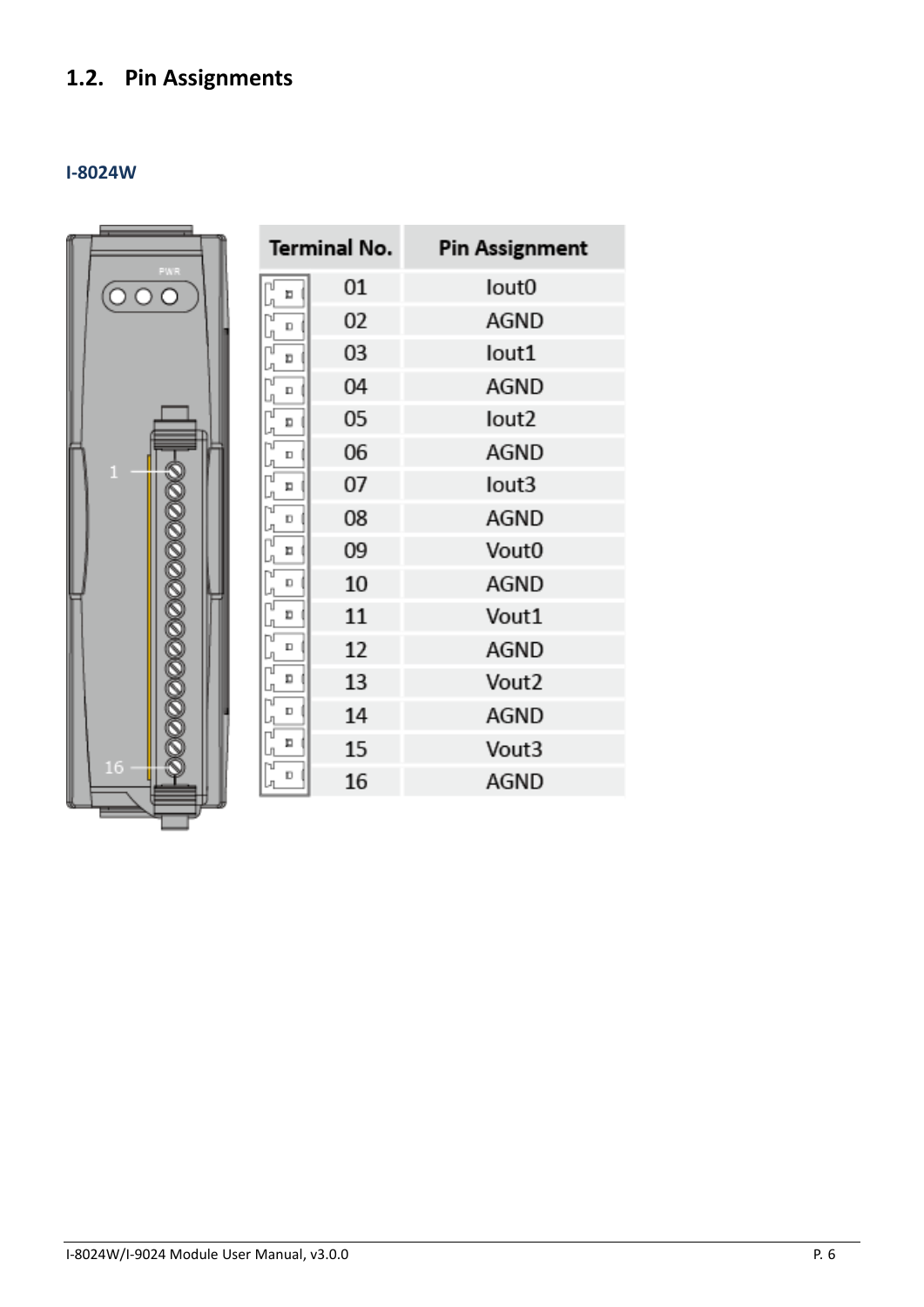# <span id="page-5-0"></span>**1.2. Pin Assignments**

## **I-8024W**

|               |        | Terminal No. | <b>Pin Assignment</b> |
|---------------|--------|--------------|-----------------------|
| FWR<br>O<br>O | E      | 01           | lout0                 |
|               | D      | 02           | AGND                  |
|               | Ð      | 03           | lout1                 |
|               | $\Box$ | 04           | AGND                  |
|               | D      | 05           | lout2                 |
|               | $\Box$ | 06           | AGND                  |
| $\mathbf{1}$  | п      | 07           | lout3                 |
|               | D      | 08           | AGND                  |
|               | п      | 09           | Vout0                 |
|               | D      | 10           | AGND                  |
|               | D      | 11           | Vout1                 |
|               | D      | 12           | AGND                  |
|               | Д      | 13           | Vout <sub>2</sub>     |
|               | D      | 14           | AGND                  |
|               | п      | 15           | Vout3                 |
| 16            | D      | 16           | AGND                  |
|               |        |              |                       |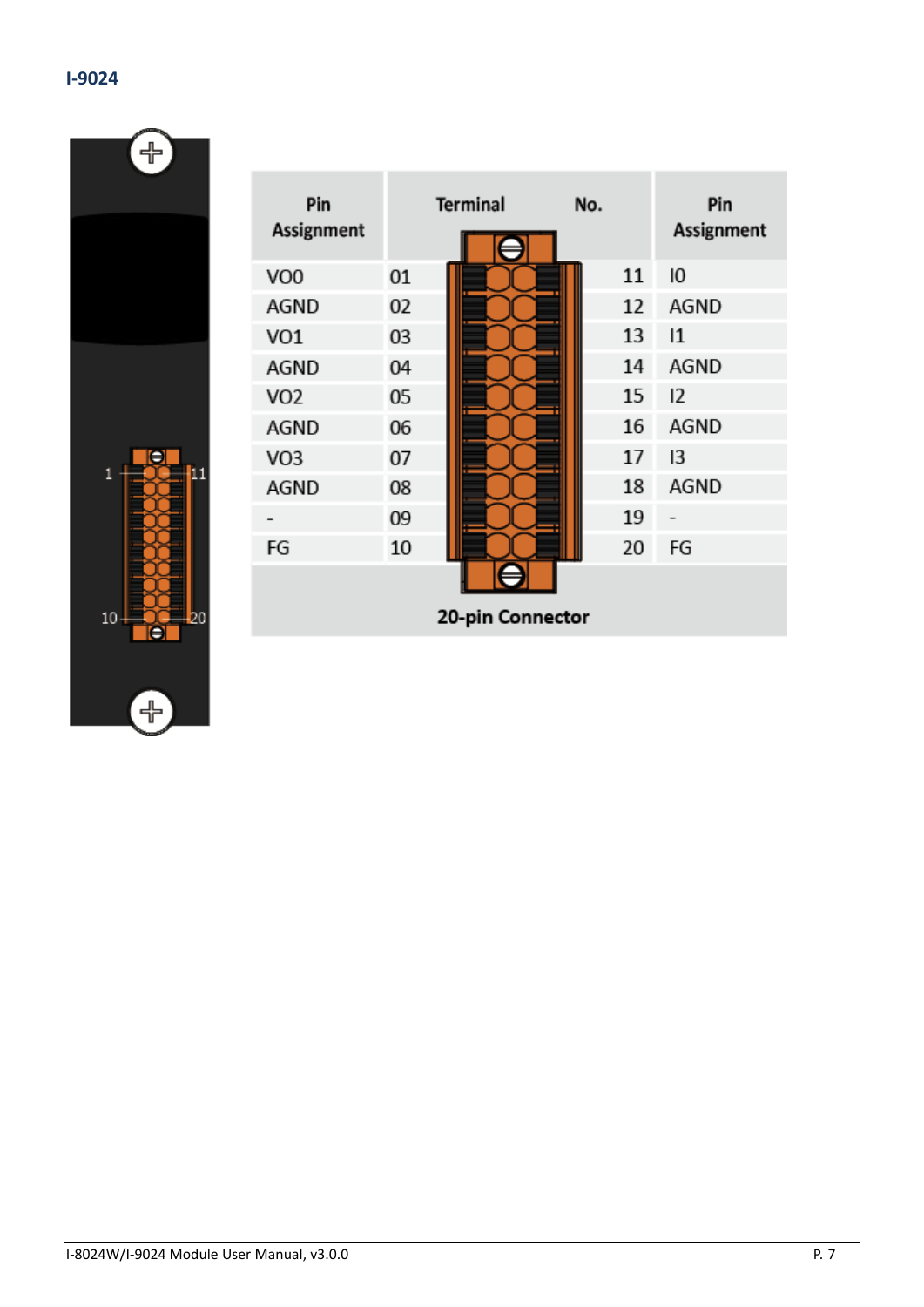$\begin{bmatrix} + \ 1 \end{bmatrix}$ 

| Е             |
|---------------|
| í<br>1        |
|               |
| 10<br>20<br>É |
|               |
| s             |

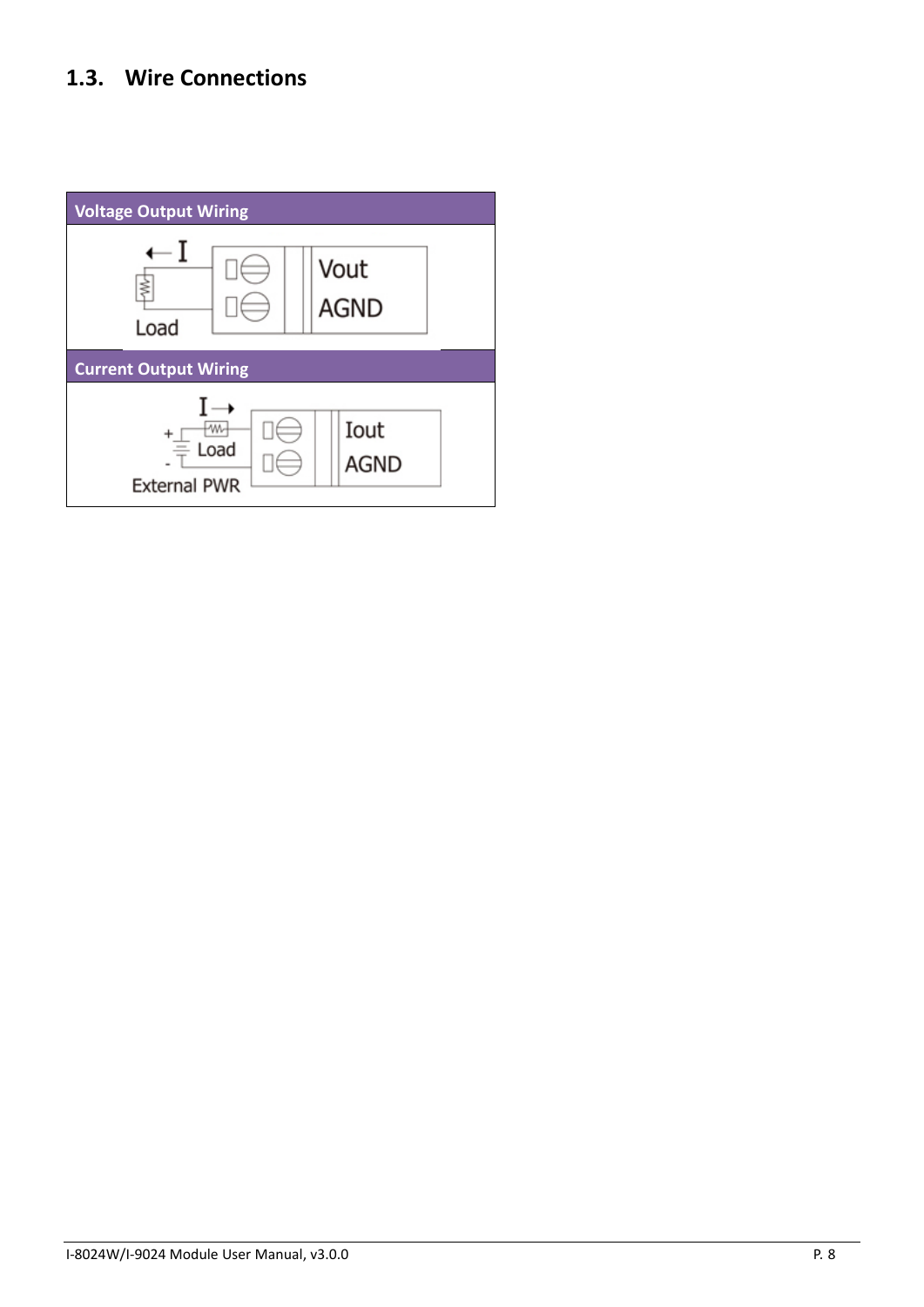# <span id="page-7-0"></span>**1.3. Wire Connections**

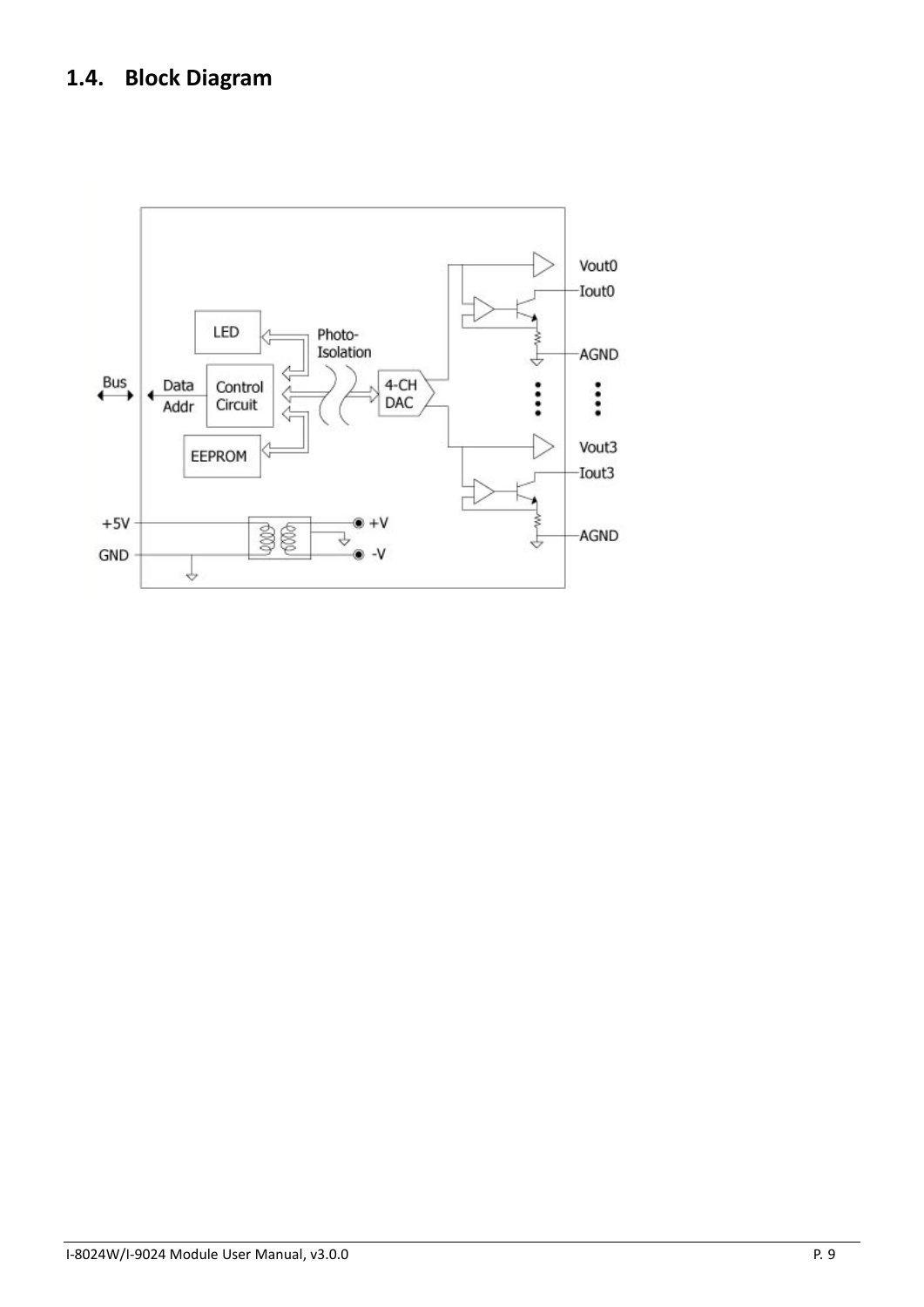# <span id="page-8-0"></span>**1.4. Block Diagram**

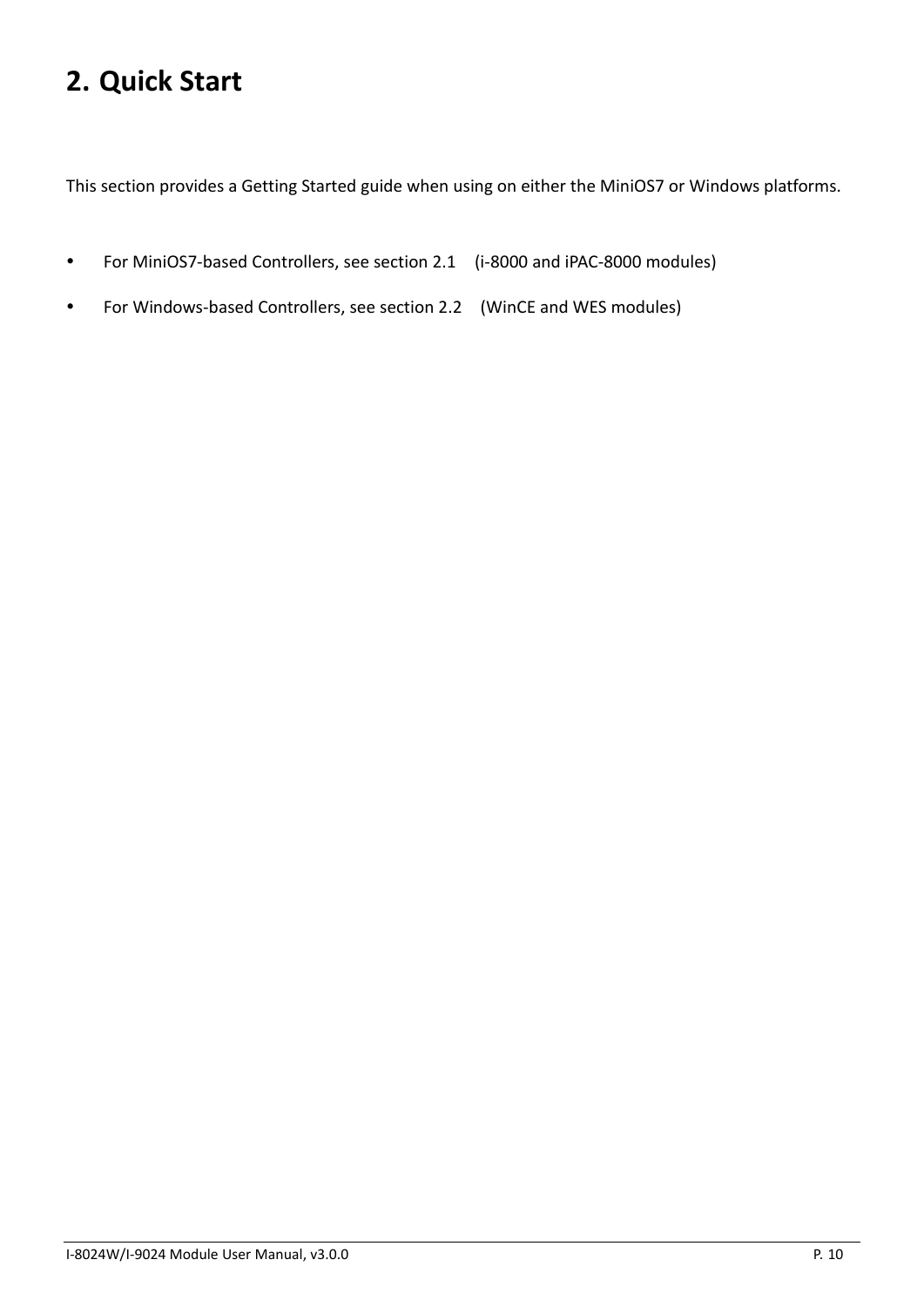# <span id="page-9-0"></span>**2. Quick Start**

This section provides a Getting Started guide when using on either the MiniOS7 or Windows platforms.

- For [MiniOS7-based Controllers,](#page-10-0) see section 2.1 (i-8000 and iPAC-8000 modules)
- For [Windows-based Controllers,](#page-12-0) see section 2.2 (WinCE and WES modules)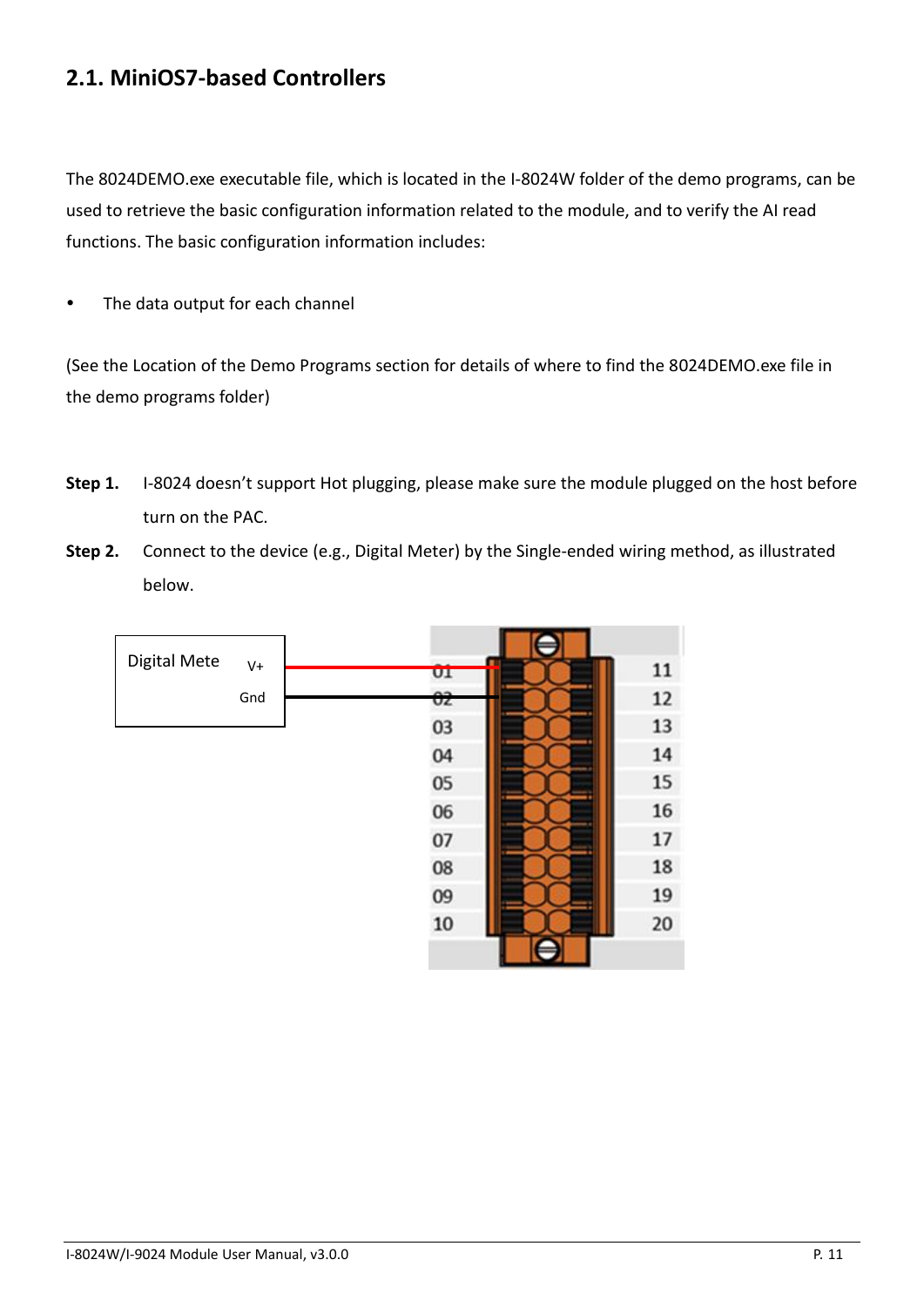# <span id="page-10-0"></span>**2.1. MiniOS7-based Controllers**

The 8024DEMO.exe executable file, which is located in the I-8024W folder of the demo programs, can be used to retrieve the basic configuration information related to the module, and to verify the AI read functions. The basic configuration information includes:

• The data output for each channel

(See the Location of the Demo Programs section for details of where to find the 8024DEMO.exe file in the demo programs folder)

- **Step 1.** I-8024 doesn't support Hot plugging, please make sure the module plugged on the host before turn on the PAC.
- **Step 2.** Connect to the device (e.g., Digital Meter) by the Single-ended wiring method, as illustrated below.

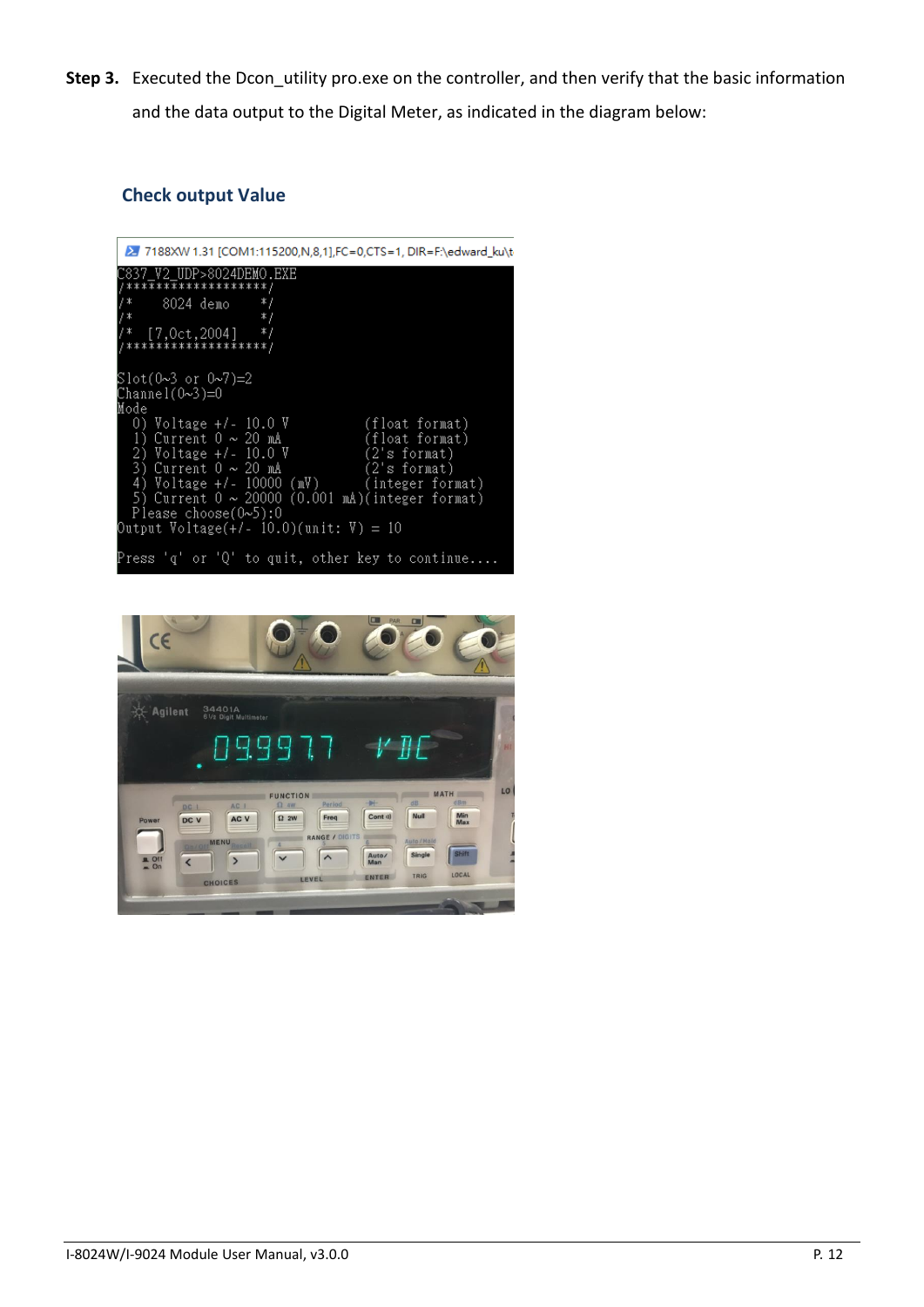**Step 3.** Executed the Dcon utility pro.exe on the controller, and then verify that the basic information and the data output to the Digital Meter, as indicated in the diagram below:

### **Check output Value**



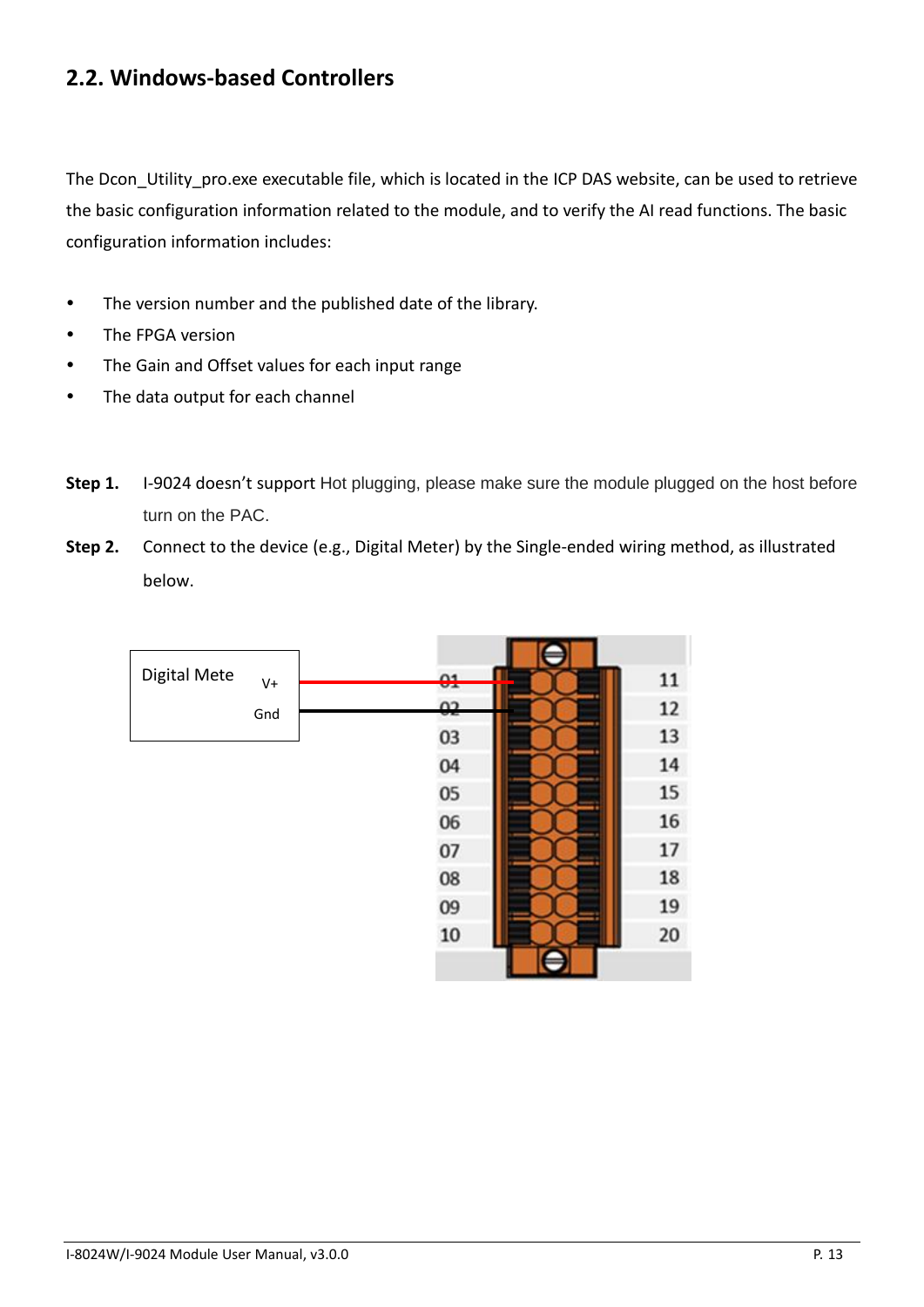# <span id="page-12-0"></span>**2.2. Windows-based Controllers**

The Dcon Utility pro.exe executable file, which is located in the ICP DAS website, can be used to retrieve the basic configuration information related to the module, and to verify the AI read functions. The basic configuration information includes:

- The version number and the published date of the library.
- The FPGA version
- The Gain and Offset values for each input range
- The data output for each channel
- **Step 1.** I-9024 doesn't support Hot plugging, please make sure the module plugged on the host before turn on the PAC.
- **Step 2.** Connect to the device (e.g., Digital Meter) by the Single-ended wiring method, as illustrated below.

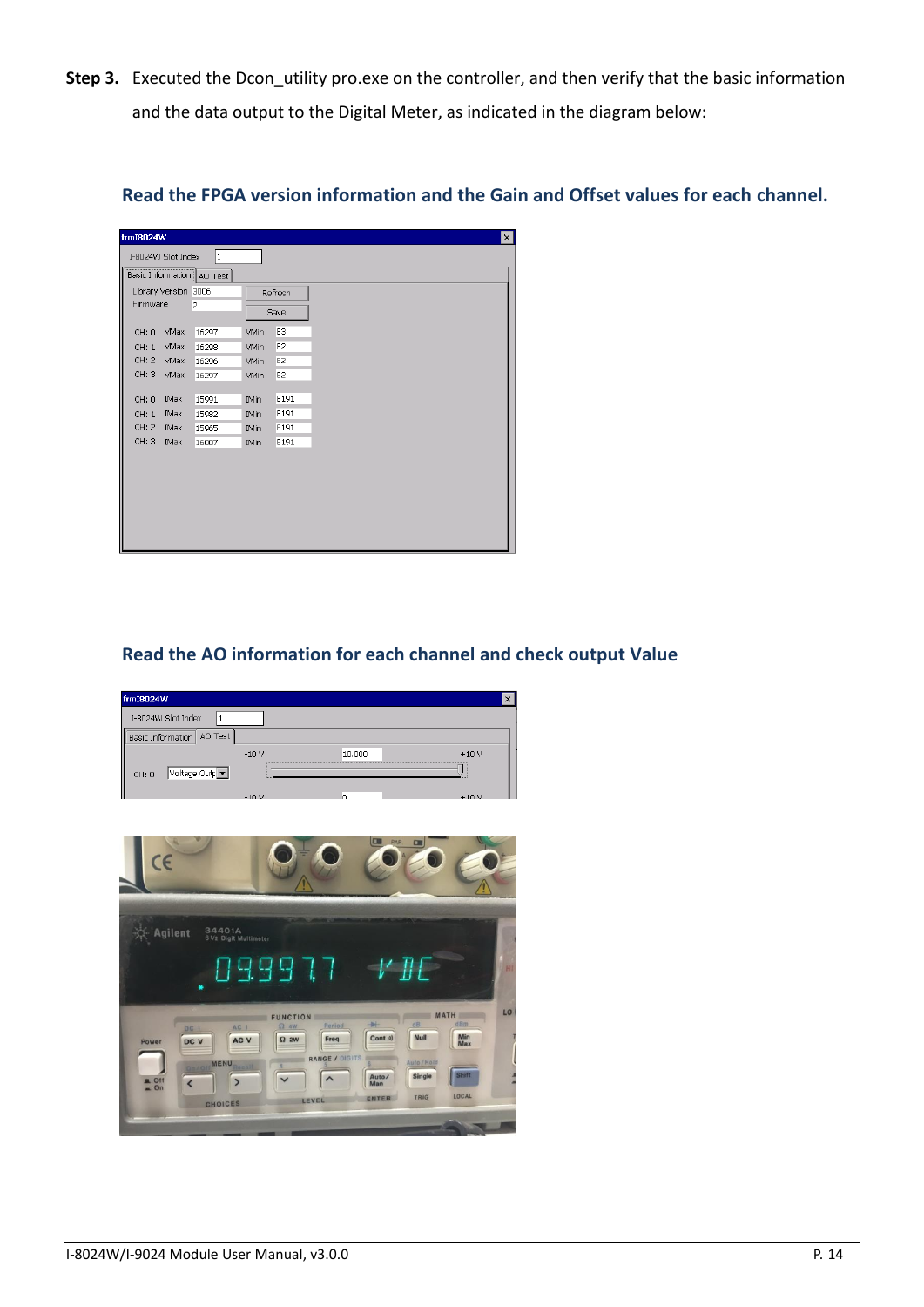**Step 3.** Executed the Dcon utility pro.exe on the controller, and then verify that the basic information and the data output to the Digital Meter, as indicated in the diagram below:

| frmI8024W            |      |                             |                            |         |
|----------------------|------|-----------------------------|----------------------------|---------|
| I-8024W Slot Index   |      | 1                           |                            |         |
|                      |      | Basic Information   AO Test |                            |         |
| Library Version 3006 |      |                             |                            | Refresh |
| Firmware             |      | 2                           |                            | Save    |
| CH: 0                | VMax | 16297                       | <b>VMin</b>                | 83      |
| CH: 1                | VMax | 16298                       | <b>VMin</b>                | 82      |
| CH: 2                | VMax | 16296                       | VMin                       | 82      |
| CH: 3                | VMax | 16297                       | <b>VMin</b>                | 82      |
| CH: 0                | IMax | 15991                       | <b>IMin</b>                | 8191    |
|                      | IMax | 15982                       |                            | 8191    |
| CH: 1<br>CH: 2       | IMax | 15965                       | <b>IMin</b><br><b>IMin</b> | 8191    |
| CH: 3                | IMax | 16007                       | <b>IMin</b>                | 8191    |
|                      |      |                             |                            |         |
|                      |      |                             |                            |         |
|                      |      |                             |                            |         |
|                      |      |                             |                            |         |
|                      |      |                             |                            |         |
|                      |      |                             |                            |         |
|                      |      |                             |                            |         |

### **Read the FPGA version information and the Gain and Offset values for each channel.**

### **Read the AO information for each channel and check output Value**



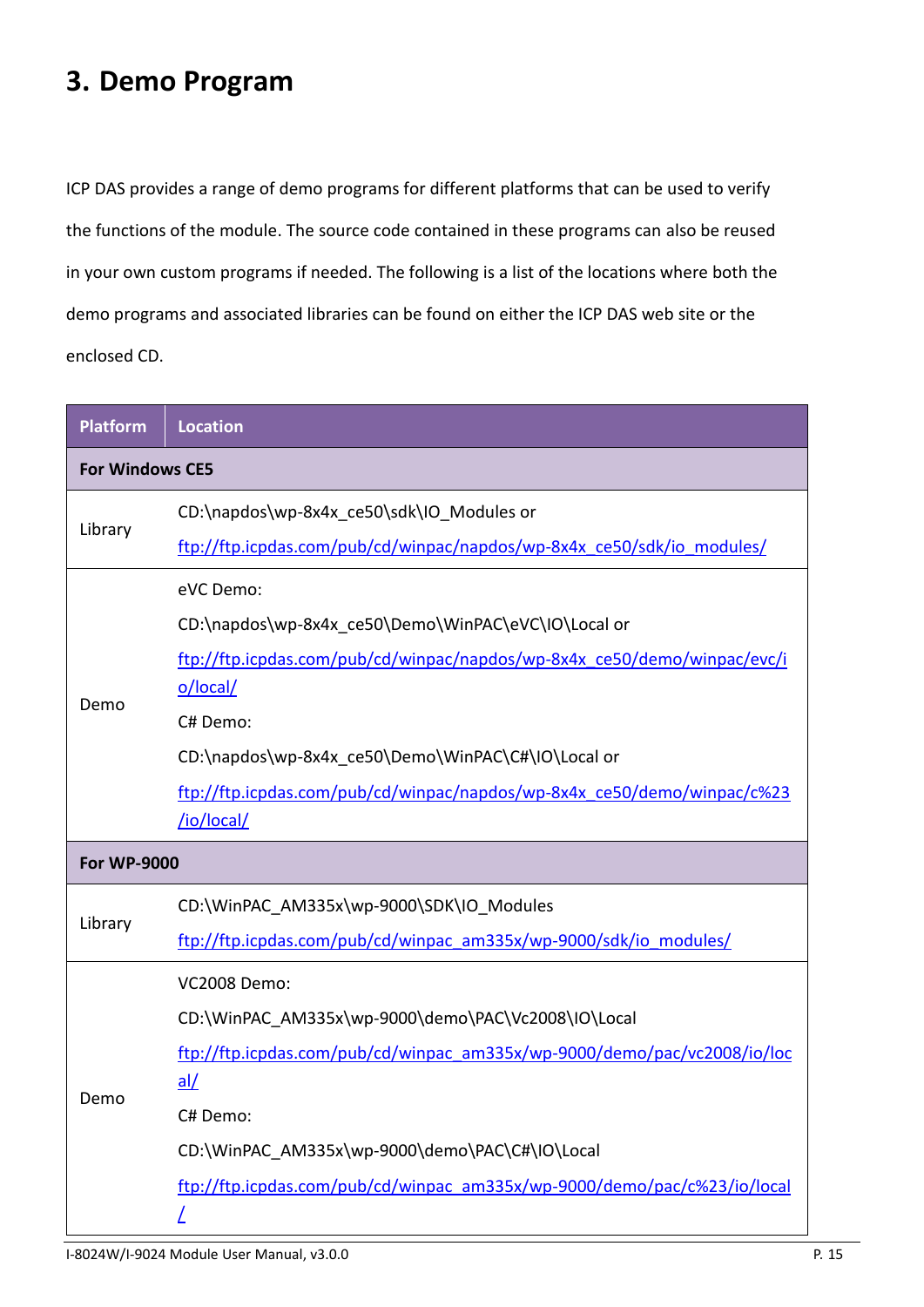# <span id="page-14-0"></span>**3. Demo Program**

ICP DAS provides a range of demo programs for different platforms that can be used to verify the functions of the module. The source code contained in these programs can also be reused in your own custom programs if needed. The following is a list of the locations where both the demo programs and associated libraries can be found on either the ICP DAS web site or the enclosed CD.

| <b>Platform</b>        | <b>Location</b>                                                          |  |  |  |
|------------------------|--------------------------------------------------------------------------|--|--|--|
| <b>For Windows CE5</b> |                                                                          |  |  |  |
|                        | CD:\napdos\wp-8x4x ce50\sdk\IO Modules or                                |  |  |  |
| Library                | ftp://ftp.icpdas.com/pub/cd/winpac/napdos/wp-8x4x_ce50/sdk/io_modules/   |  |  |  |
|                        | eVC Demo:                                                                |  |  |  |
|                        | CD:\napdos\wp-8x4x ce50\Demo\WinPAC\eVC\IO\Local or                      |  |  |  |
|                        | ftp://ftp.icpdas.com/pub/cd/winpac/napdos/wp-8x4x_ce50/demo/winpac/evc/i |  |  |  |
| Demo                   | o/local/                                                                 |  |  |  |
|                        | C# Demo:                                                                 |  |  |  |
|                        | CD:\napdos\wp-8x4x ce50\Demo\WinPAC\C#\IO\Local or                       |  |  |  |
|                        | ftp://ftp.icpdas.com/pub/cd/winpac/napdos/wp-8x4x_ce50/demo/winpac/c%23  |  |  |  |
|                        | /io/local/                                                               |  |  |  |
| <b>For WP-9000</b>     |                                                                          |  |  |  |
|                        | CD:\WinPAC AM335x\wp-9000\SDK\IO Modules                                 |  |  |  |
| Library                | ftp://ftp.icpdas.com/pub/cd/winpac_am335x/wp-9000/sdk/io_modules/        |  |  |  |
|                        | <b>VC2008 Demo:</b>                                                      |  |  |  |
|                        | CD:\WinPAC AM335x\wp-9000\demo\PAC\Vc2008\IO\Local                       |  |  |  |
|                        | ftp://ftp.icpdas.com/pub/cd/winpac_am335x/wp-9000/demo/pac/vc2008/io/loc |  |  |  |
| Demo                   | al/                                                                      |  |  |  |
|                        | C# Demo:                                                                 |  |  |  |
|                        | CD:\WinPAC AM335x\wp-9000\demo\PAC\C#\IO\Local                           |  |  |  |
|                        | ftp://ftp.icpdas.com/pub/cd/winpac_am335x/wp-9000/demo/pac/c%23/io/local |  |  |  |
|                        |                                                                          |  |  |  |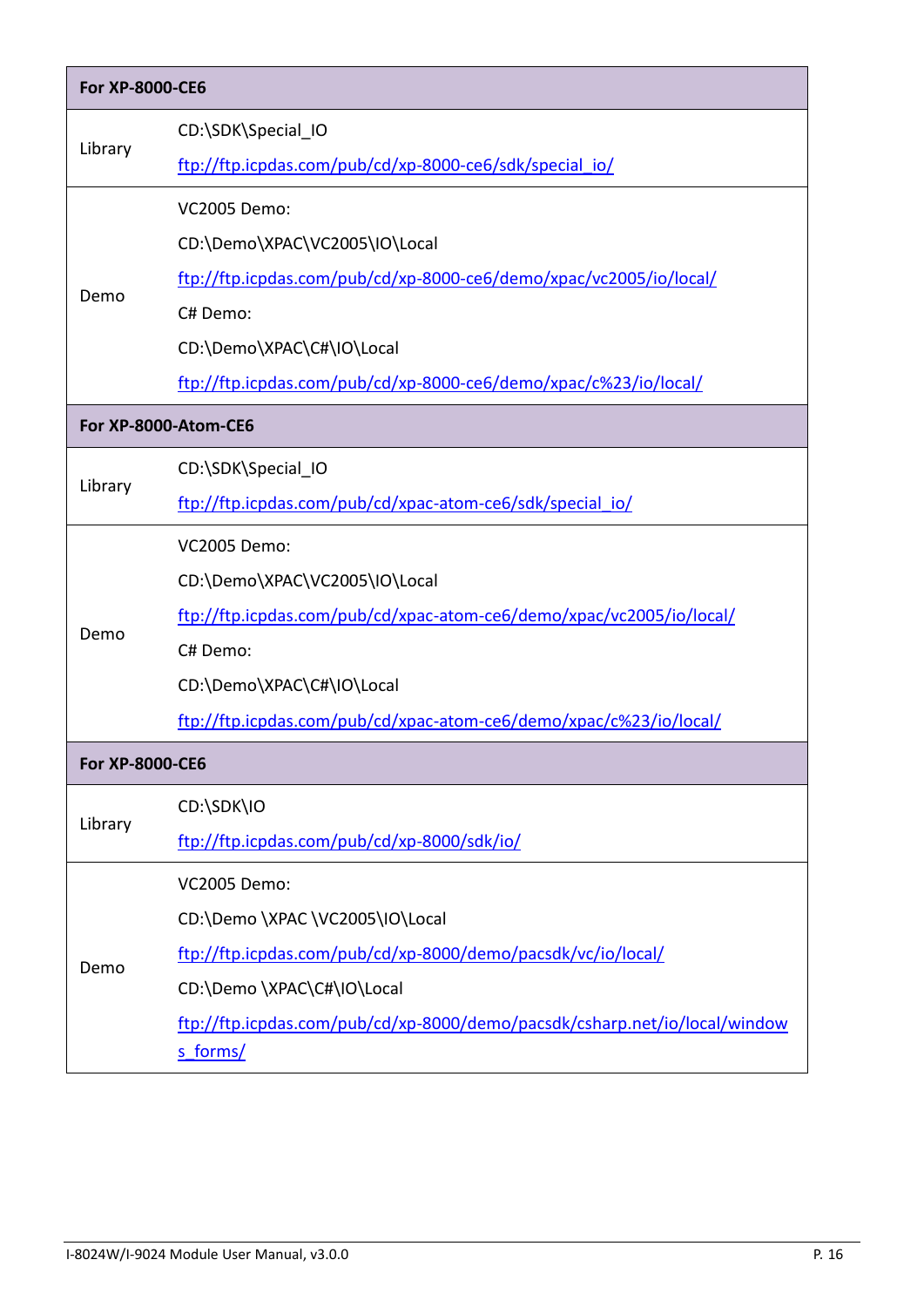| <b>For XP-8000-CE6</b> |                                                                                        |  |  |
|------------------------|----------------------------------------------------------------------------------------|--|--|
|                        | CD:\SDK\Special IO                                                                     |  |  |
| Library                | ftp://ftp.icpdas.com/pub/cd/xp-8000-ce6/sdk/special io/                                |  |  |
|                        | <b>VC2005 Demo:</b>                                                                    |  |  |
|                        | CD:\Demo\XPAC\VC2005\IO\Local                                                          |  |  |
|                        | ftp://ftp.icpdas.com/pub/cd/xp-8000-ce6/demo/xpac/vc2005/io/local/                     |  |  |
| Demo                   | C# Demo:                                                                               |  |  |
|                        | CD:\Demo\XPAC\C#\IO\Local                                                              |  |  |
|                        | ftp://ftp.icpdas.com/pub/cd/xp-8000-ce6/demo/xpac/c%23/io/local/                       |  |  |
|                        | For XP-8000-Atom-CE6                                                                   |  |  |
|                        | CD:\SDK\Special IO                                                                     |  |  |
| Library                | ftp://ftp.icpdas.com/pub/cd/xpac-atom-ce6/sdk/special io/                              |  |  |
|                        | <b>VC2005 Demo:</b>                                                                    |  |  |
|                        | CD:\Demo\XPAC\VC2005\IO\Local                                                          |  |  |
|                        | ftp://ftp.icpdas.com/pub/cd/xpac-atom-ce6/demo/xpac/vc2005/io/local/                   |  |  |
| Demo                   | C# Demo:                                                                               |  |  |
|                        | CD:\Demo\XPAC\C#\IO\Local                                                              |  |  |
|                        | ftp://ftp.icpdas.com/pub/cd/xpac-atom-ce6/demo/xpac/c%23/io/local/                     |  |  |
| For XP-8000-CE6        |                                                                                        |  |  |
|                        | CD:\SDK\IO                                                                             |  |  |
| Library                | ftp://ftp.icpdas.com/pub/cd/xp-8000/sdk/io/                                            |  |  |
|                        | <b>VC2005 Demo:</b>                                                                    |  |  |
|                        | CD:\Demo \XPAC \VC2005\IO\Local                                                        |  |  |
| Demo                   | ftp://ftp.icpdas.com/pub/cd/xp-8000/demo/pacsdk/vc/io/local/                           |  |  |
|                        | CD:\Demo \XPAC\C#\IO\Local                                                             |  |  |
|                        | ftp://ftp.icpdas.com/pub/cd/xp-8000/demo/pacsdk/csharp.net/io/local/window<br>s forms/ |  |  |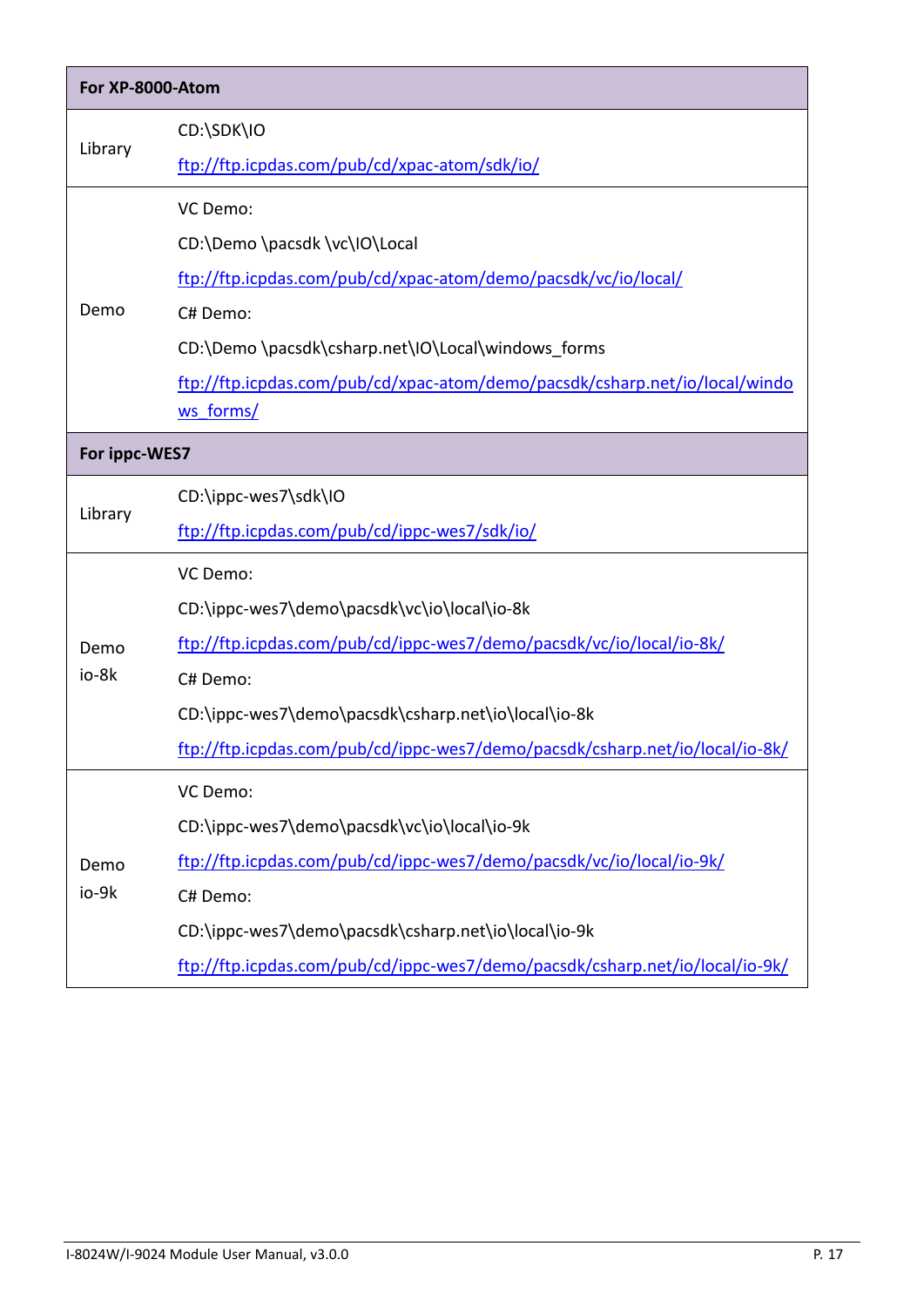| For XP-8000-Atom |                                                                              |  |  |  |
|------------------|------------------------------------------------------------------------------|--|--|--|
|                  | CD:\SDK\IO                                                                   |  |  |  |
| Library          | ftp://ftp.icpdas.com/pub/cd/xpac-atom/sdk/io/                                |  |  |  |
|                  | VC Demo:                                                                     |  |  |  |
|                  | CD:\Demo \pacsdk \vc\IO\Local                                                |  |  |  |
|                  | ftp://ftp.icpdas.com/pub/cd/xpac-atom/demo/pacsdk/vc/io/local/               |  |  |  |
| Demo             | C# Demo:                                                                     |  |  |  |
|                  | CD:\Demo \pacsdk\csharp.net\IO\Local\windows forms                           |  |  |  |
|                  | ftp://ftp.icpdas.com/pub/cd/xpac-atom/demo/pacsdk/csharp.net/io/local/windo  |  |  |  |
|                  | ws forms/                                                                    |  |  |  |
|                  | For ippc-WES7                                                                |  |  |  |
|                  | CD:\ippc-wes7\sdk\IO                                                         |  |  |  |
| Library          | ftp://ftp.icpdas.com/pub/cd/ippc-wes7/sdk/io/                                |  |  |  |
|                  | VC Demo:                                                                     |  |  |  |
|                  | CD:\ippc-wes7\demo\pacsdk\vc\io\local\io-8k                                  |  |  |  |
| Demo             | ftp://ftp.icpdas.com/pub/cd/ippc-wes7/demo/pacsdk/vc/io/local/io-8k/         |  |  |  |
| io-8k            | C# Demo:                                                                     |  |  |  |
|                  | CD:\ippc-wes7\demo\pacsdk\csharp.net\io\local\io-8k                          |  |  |  |
|                  | ftp://ftp.icpdas.com/pub/cd/ippc-wes7/demo/pacsdk/csharp.net/io/local/io-8k/ |  |  |  |
|                  | VC Demo:                                                                     |  |  |  |
|                  | CD:\ippc-wes7\demo\pacsdk\vc\io\local\io-9k                                  |  |  |  |
| Demo             | ftp://ftp.icpdas.com/pub/cd/ippc-wes7/demo/pacsdk/vc/io/local/io-9k/         |  |  |  |
| io-9k            | C# Demo:                                                                     |  |  |  |
|                  | CD:\ippc-wes7\demo\pacsdk\csharp.net\io\local\io-9k                          |  |  |  |
|                  | ftp://ftp.icpdas.com/pub/cd/ippc-wes7/demo/pacsdk/csharp.net/io/local/io-9k/ |  |  |  |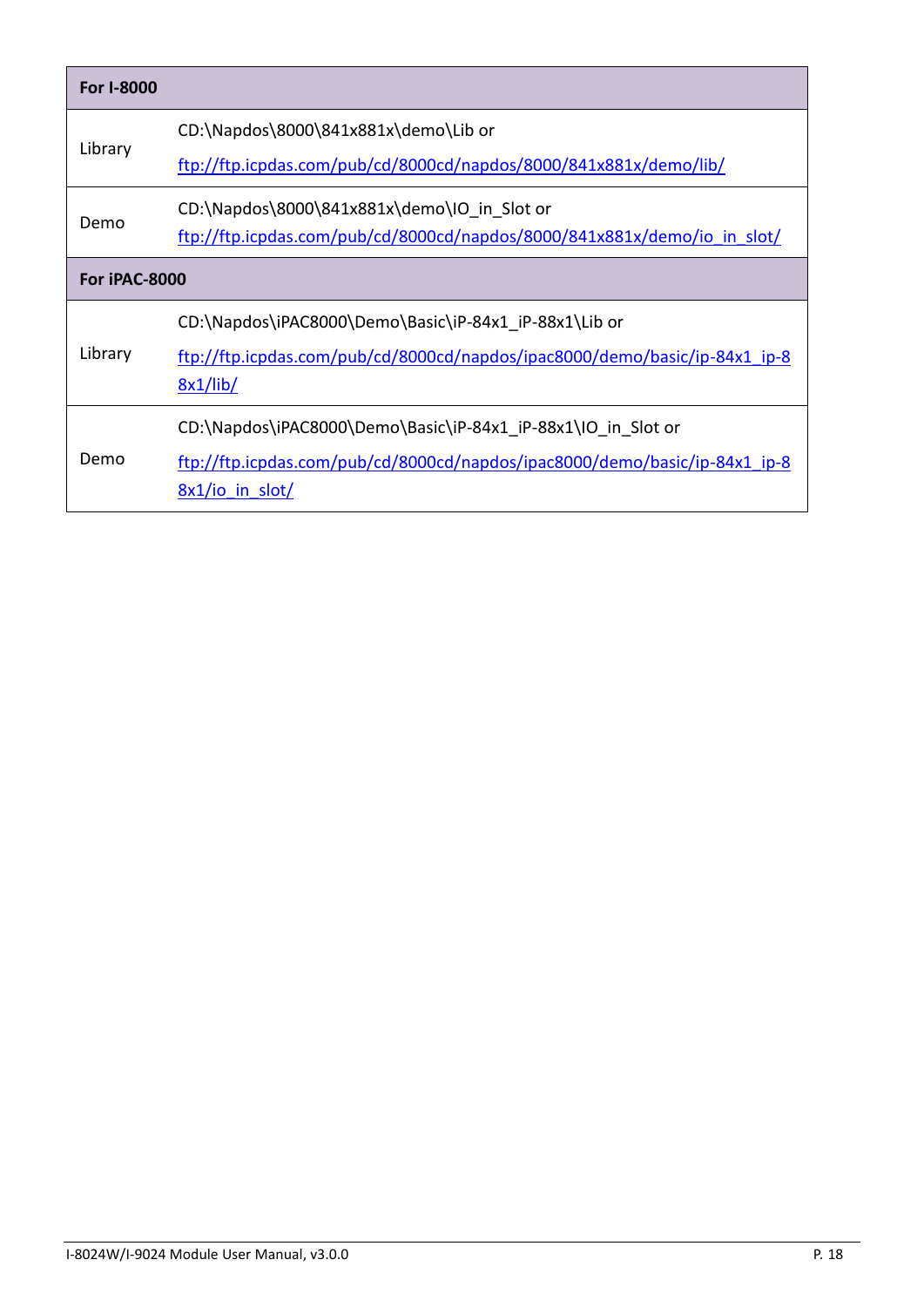| For I-8000    |                                                                                                                                                               |  |
|---------------|---------------------------------------------------------------------------------------------------------------------------------------------------------------|--|
| Library       | CD:\Napdos\8000\841x881x\demo\Lib or<br>ftp://ftp.icpdas.com/pub/cd/8000cd/napdos/8000/841x881x/demo/lib/                                                     |  |
| Demo          | CD:\Napdos\8000\841x881x\demo\IO in Slot or<br>ftp://ftp.icpdas.com/pub/cd/8000cd/napdos/8000/841x881x/demo/io in slot/                                       |  |
| For iPAC-8000 |                                                                                                                                                               |  |
| Library       | CD:\Napdos\iPAC8000\Demo\Basic\iP-84x1 iP-88x1\Lib or<br>ftp://ftp.icpdas.com/pub/cd/8000cd/napdos/ipac8000/demo/basic/ip-84x1_ip-8<br>8x1/lib/               |  |
| Demo          | CD:\Napdos\iPAC8000\Demo\Basic\iP-84x1_iP-88x1\IO_in_Slot or<br>ftp://ftp.icpdas.com/pub/cd/8000cd/napdos/ipac8000/demo/basic/ip-84x1 ip-8<br>8x1/io in slot/ |  |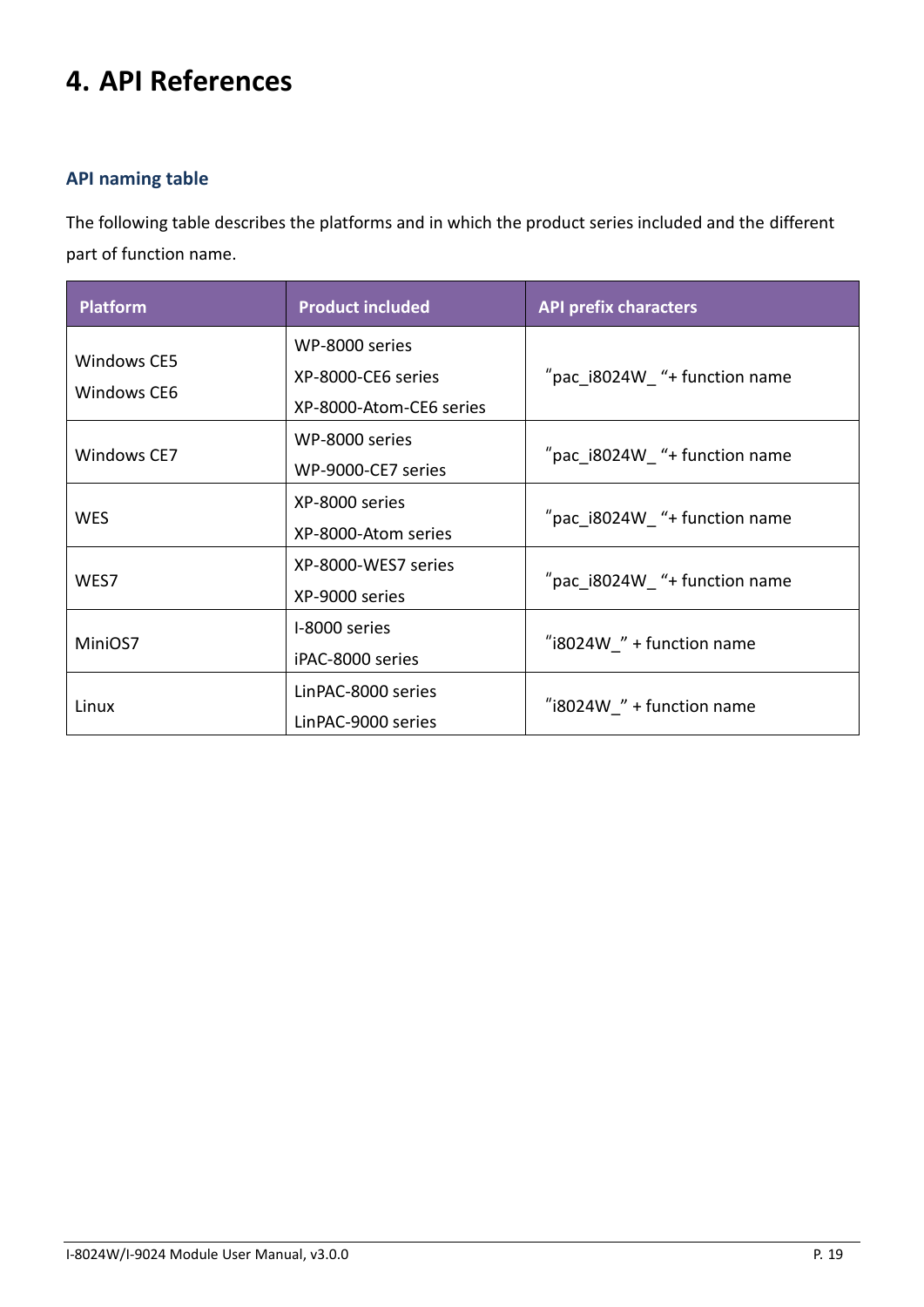# <span id="page-18-0"></span>**4. API References**

### **API naming table**

The following table describes the platforms and in which the product series included and the different part of function name.

| <b>Platform</b>            | <b>Product included</b>                                         | <b>API prefix characters</b>   |
|----------------------------|-----------------------------------------------------------------|--------------------------------|
| Windows CE5<br>Windows CE6 | WP-8000 series<br>XP-8000-CE6 series<br>XP-8000-Atom-CE6 series | "pac_i8024W_ "+ function name  |
| Windows CE7                | WP-8000 series<br>WP-9000-CE7 series                            | "pac_i8024W_ "+ function name  |
| <b>WES</b>                 | XP-8000 series<br>XP-8000-Atom series                           | "pac $i8024W$ "+ function name |
| WES7                       | XP-8000-WES7 series<br>XP-9000 series                           | "pac $i8024W$ "+ function name |
| MiniOS7                    | I-8000 series<br>iPAC-8000 series                               | "i8024W $"$ + function name    |
| Linux                      | LinPAC-8000 series<br>LinPAC-9000 series                        | "i8024W " + function name      |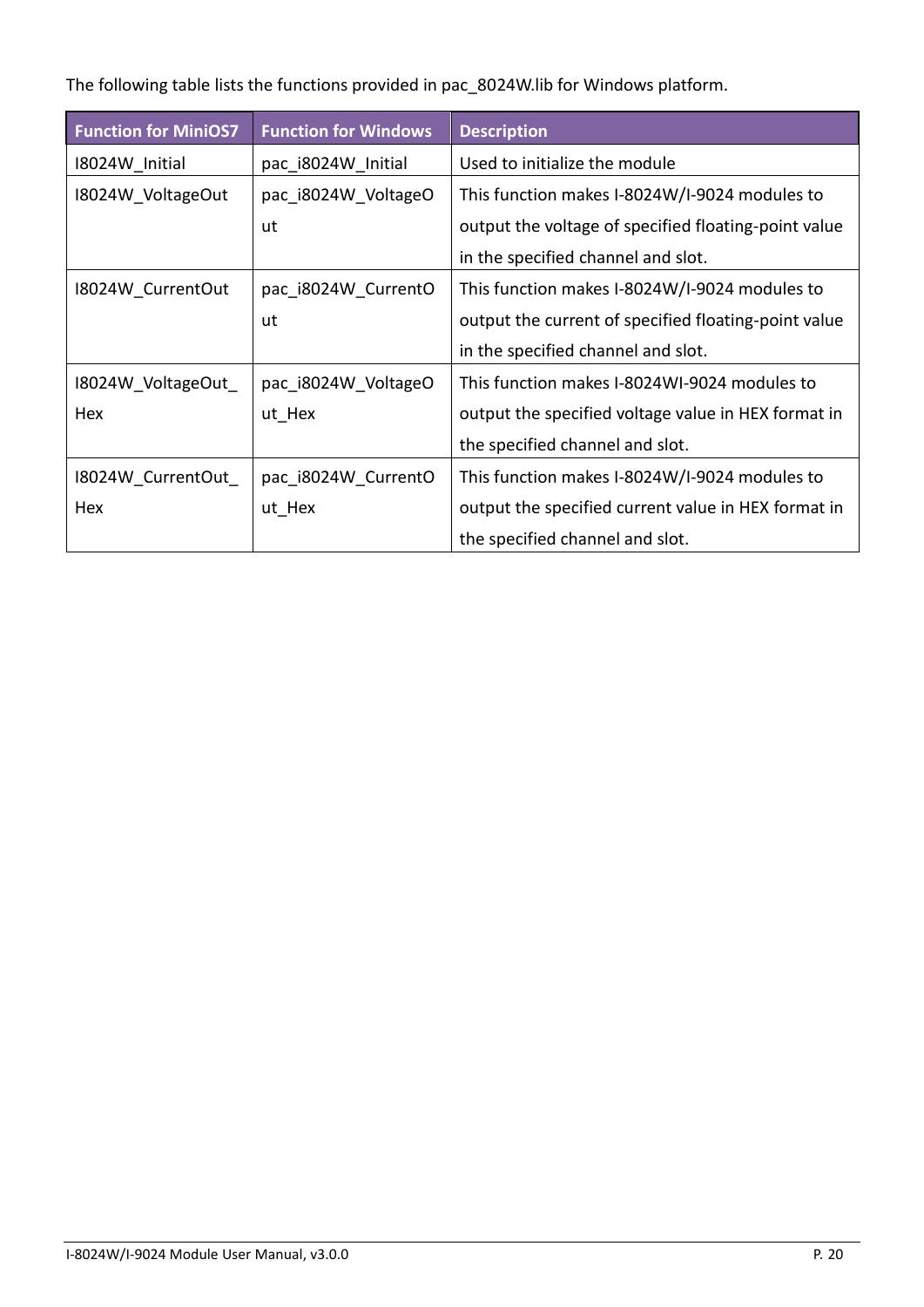The following table lists the functions provided in pac\_8024W.lib for Windows platform.

| <b>Function for MiniOS7</b> | <b>Function for Windows</b> | <b>Description</b>                                   |
|-----------------------------|-----------------------------|------------------------------------------------------|
| 18024W Initial              | pac i8024W_Initial          | Used to initialize the module                        |
| 18024W VoltageOut           | pac i8024W VoltageO         | This function makes I-8024W/I-9024 modules to        |
|                             | ut                          | output the voltage of specified floating-point value |
|                             |                             | in the specified channel and slot.                   |
| 18024W_CurrentOut           | pac_i8024W_CurrentO         | This function makes I-8024W/I-9024 modules to        |
|                             | ut                          | output the current of specified floating-point value |
|                             |                             | in the specified channel and slot.                   |
| 18024W VoltageOut           | pac i8024W VoltageO         | This function makes I-8024WI-9024 modules to         |
| Hex                         | ut Hex                      | output the specified voltage value in HEX format in  |
|                             |                             | the specified channel and slot.                      |
| 18024W CurrentOut           | pac i8024W CurrentO         | This function makes I-8024W/I-9024 modules to        |
| Hex                         | ut Hex                      | output the specified current value in HEX format in  |
|                             |                             | the specified channel and slot.                      |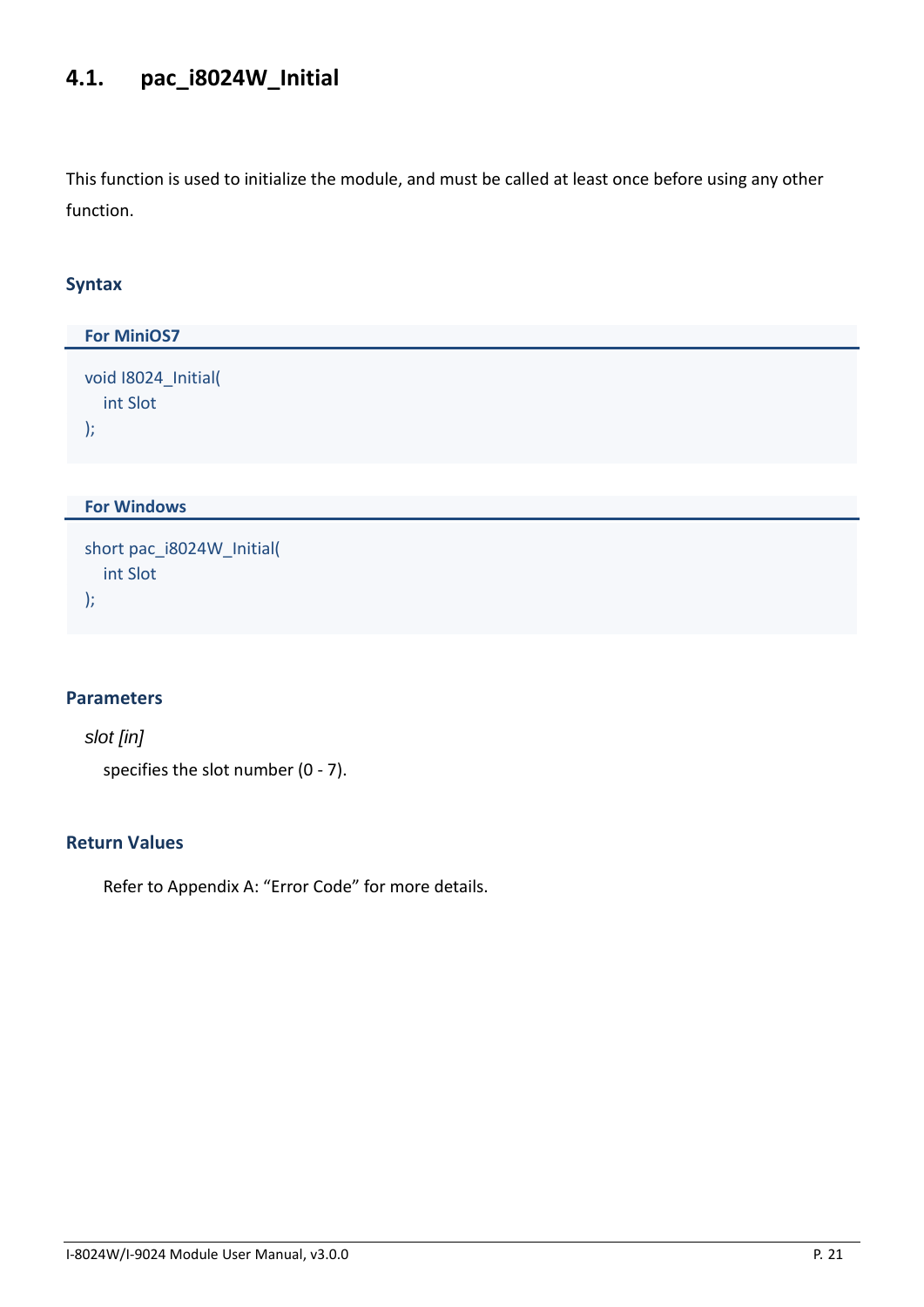# <span id="page-20-0"></span>**4.1. pac\_i8024W\_Initial**

This function is used to initialize the module, and must be called at least once before using any other function.

### **Syntax**

| <b>For MiniOS7</b>                           |
|----------------------------------------------|
| void I8024_Initial(<br>int Slot<br>$\vert$ ; |
|                                              |
| <b>For Windows</b>                           |
| short pac_i8024W_Initial(<br>int Slot        |

# **Parameters**

);

*slot [in]* 

specifies the slot number (0 - 7).

### **Return Values**

Refer to Appendix A: "Error Code" for more details.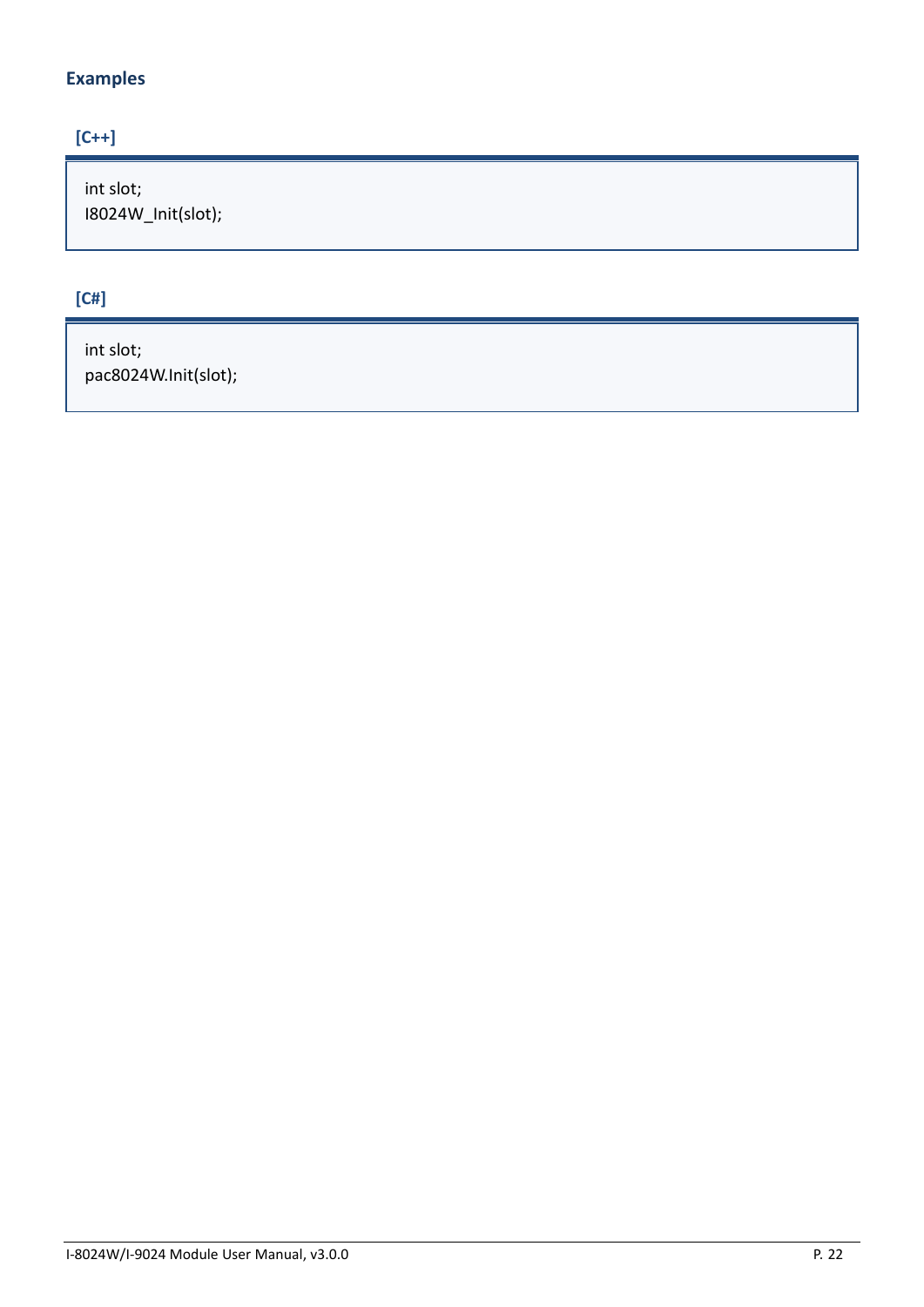## **Examples**

## **[C++]**

int slot; I8024W\_Init(slot);

# **[C#]**

int slot; pac8024W.Init(slot);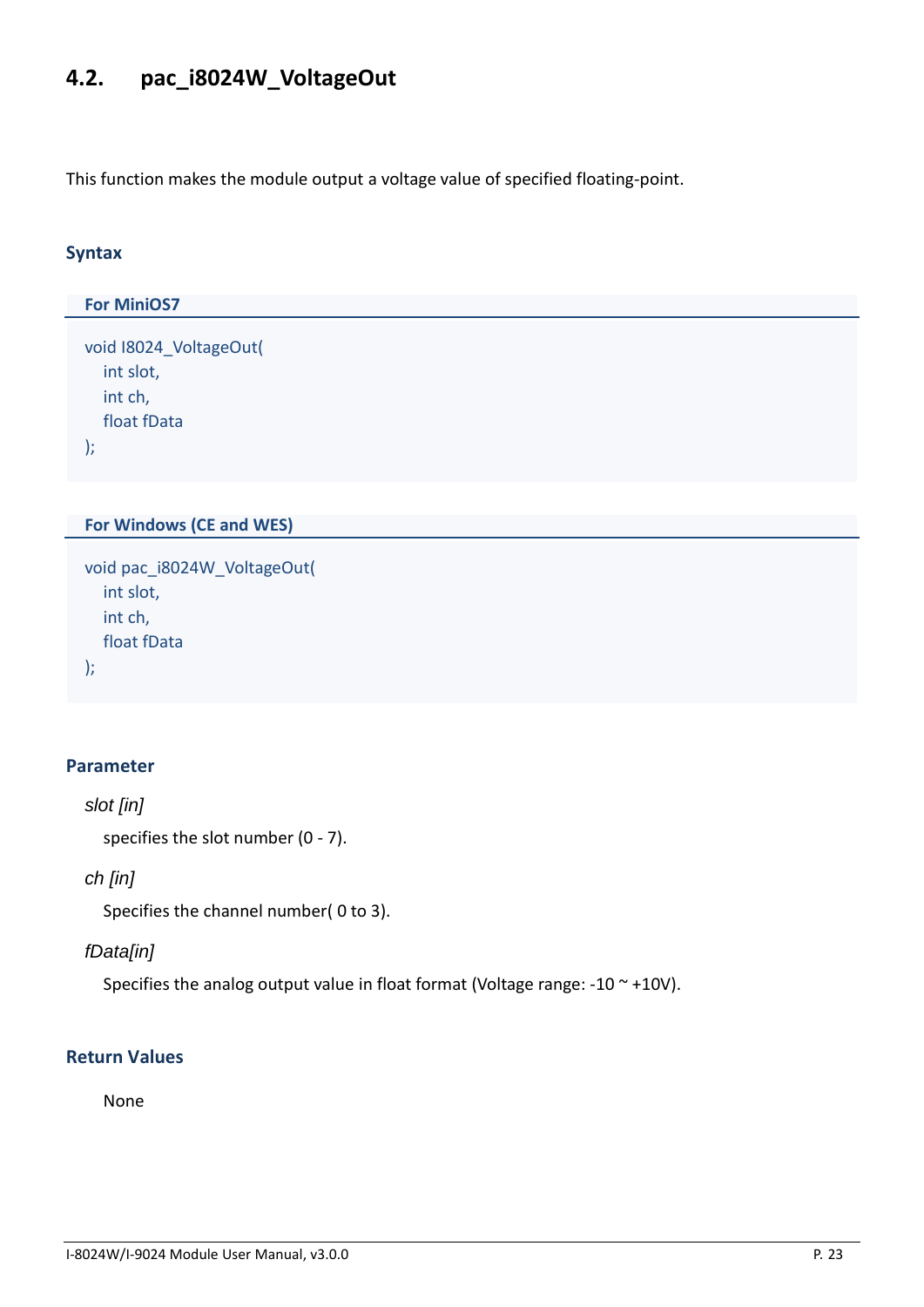# <span id="page-22-0"></span>**4.2. pac\_i8024W\_VoltageOut**

This function makes the module output a voltage value of specified floating-point.

### **Syntax**

```
For MiniOS7 
void I8024_VoltageOut(
  int slot,
  int ch,
  float fData
);
```
### **For Windows (CE and WES)**

```
void pac_i8024W_VoltageOut(
  int slot,
  int ch,
  float fData
);
```
### **Parameter**

```
slot [in]
```
specifies the slot number (0 - 7).

### *ch [in]*

Specifies the channel number( 0 to 3).

### *fData[in]*

Specifies the analog output value in float format (Voltage range: -10  $\sim$  +10V).

### **Return Values**

None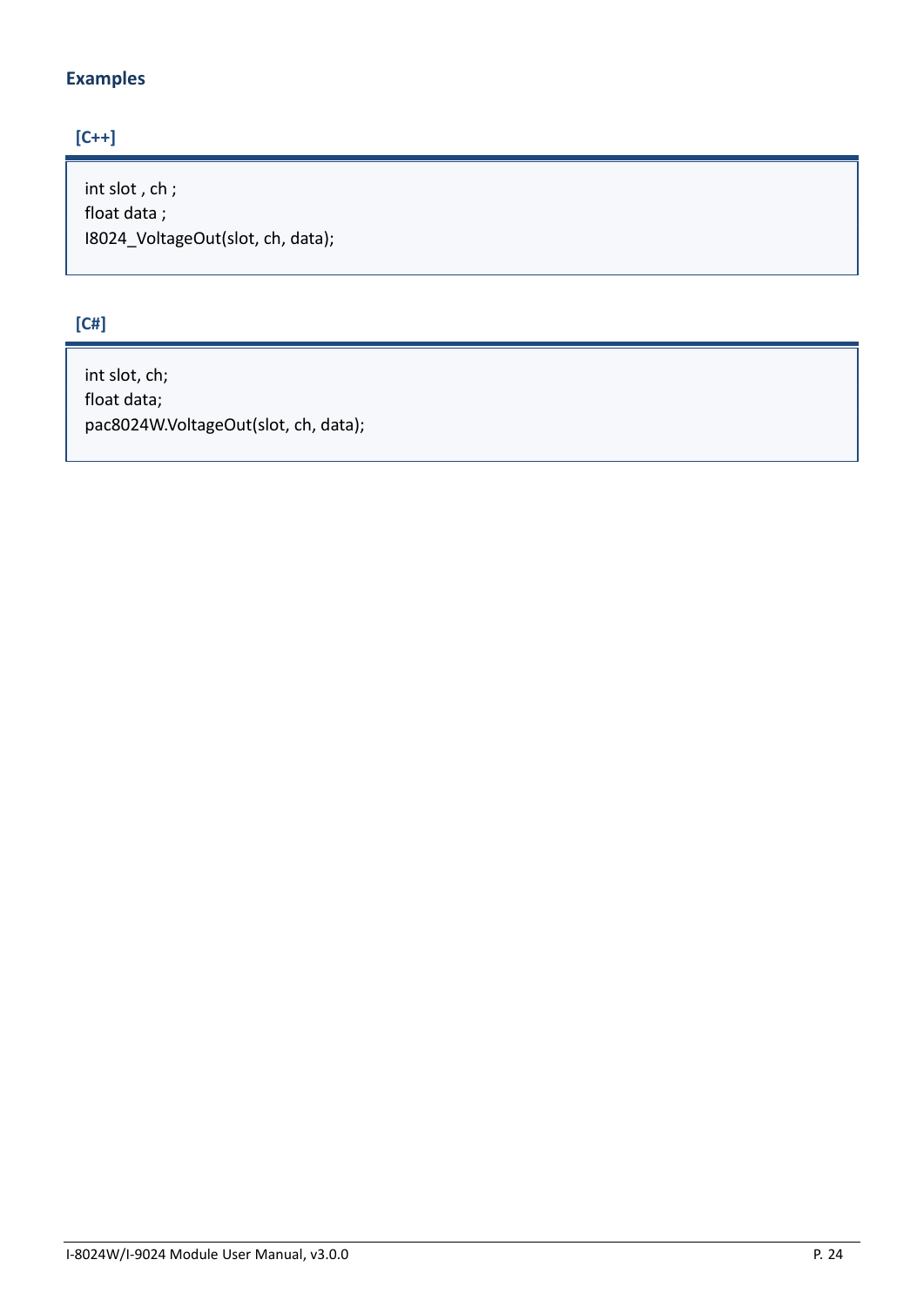## **Examples**

## **[C++]**

int slot , ch ; float data ; I8024\_VoltageOut(slot, ch, data);

### **[C#]**

int slot, ch; float data; pac8024W.VoltageOut(slot, ch, data);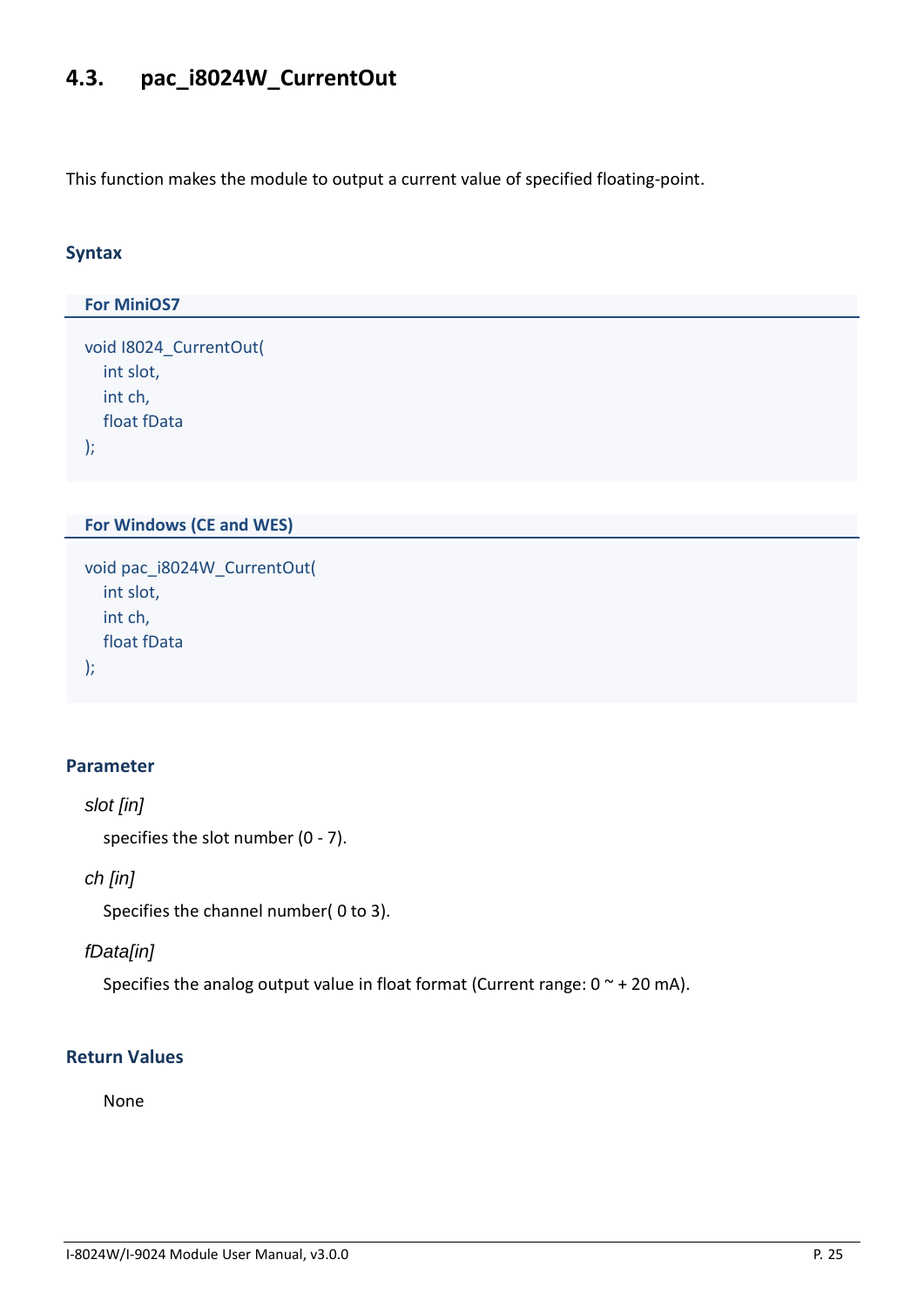# <span id="page-24-0"></span>**4.3. pac\_i8024W\_CurrentOut**

This function makes the module to output a current value of specified floating-point.

### **Syntax**

```
For MiniOS7 
void I8024_CurrentOut(
  int slot,
  int ch,
  float fData
);
```
### **For Windows (CE and WES)**

```
void pac_i8024W_CurrentOut(
  int slot,
  int ch,
  float fData
);
```
### **Parameter**

```
slot [in]
```
specifies the slot number (0 - 7).

### *ch [in]*

Specifies the channel number( 0 to 3).

### *fData[in]*

Specifies the analog output value in float format (Current range:  $0 \sim +20$  mA).

### **Return Values**

None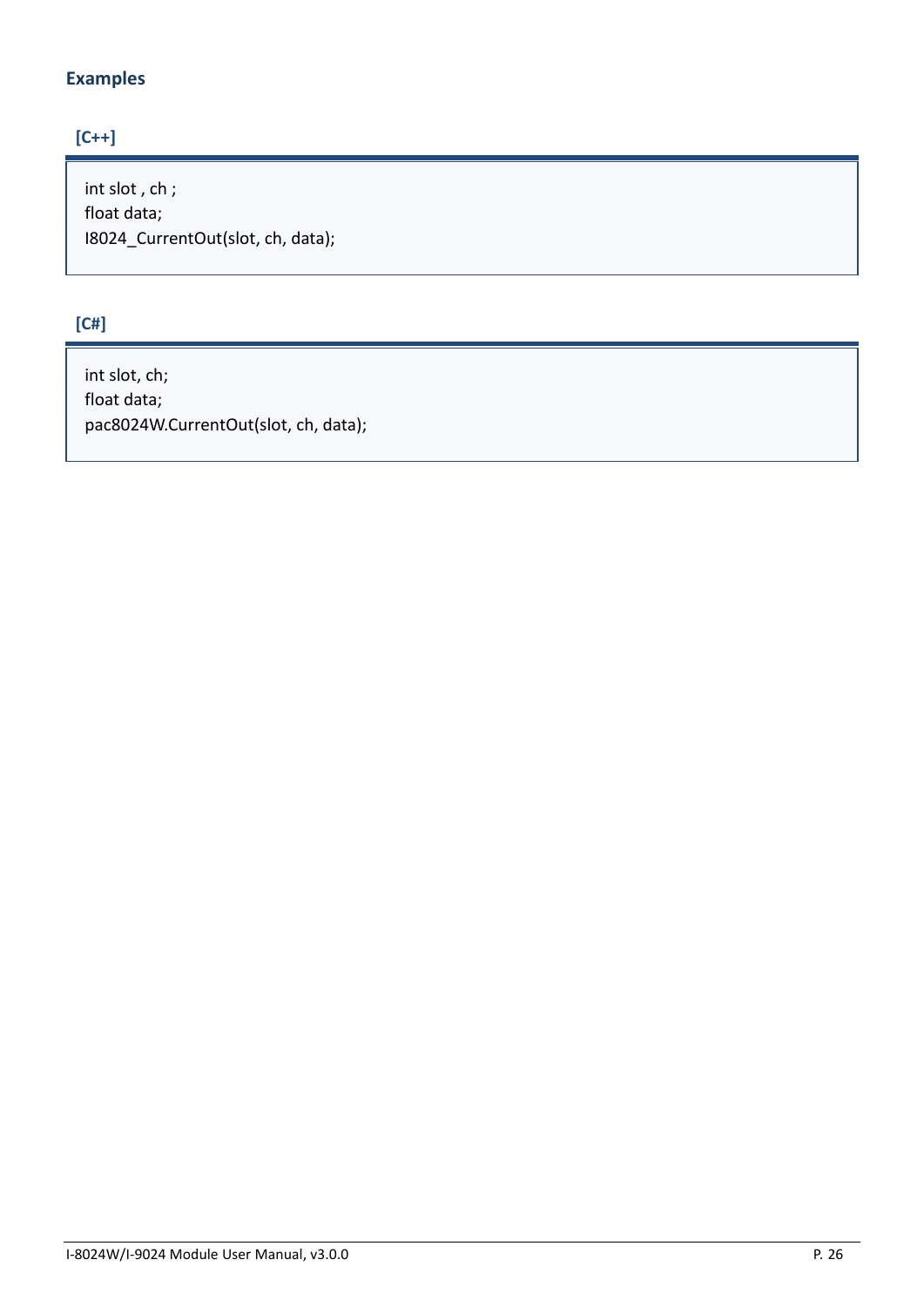## **Examples**

## **[C++]**

int slot , ch ; float data; I8024\_CurrentOut(slot, ch, data);

### **[C#]**

int slot, ch; float data; pac8024W.CurrentOut(slot, ch, data);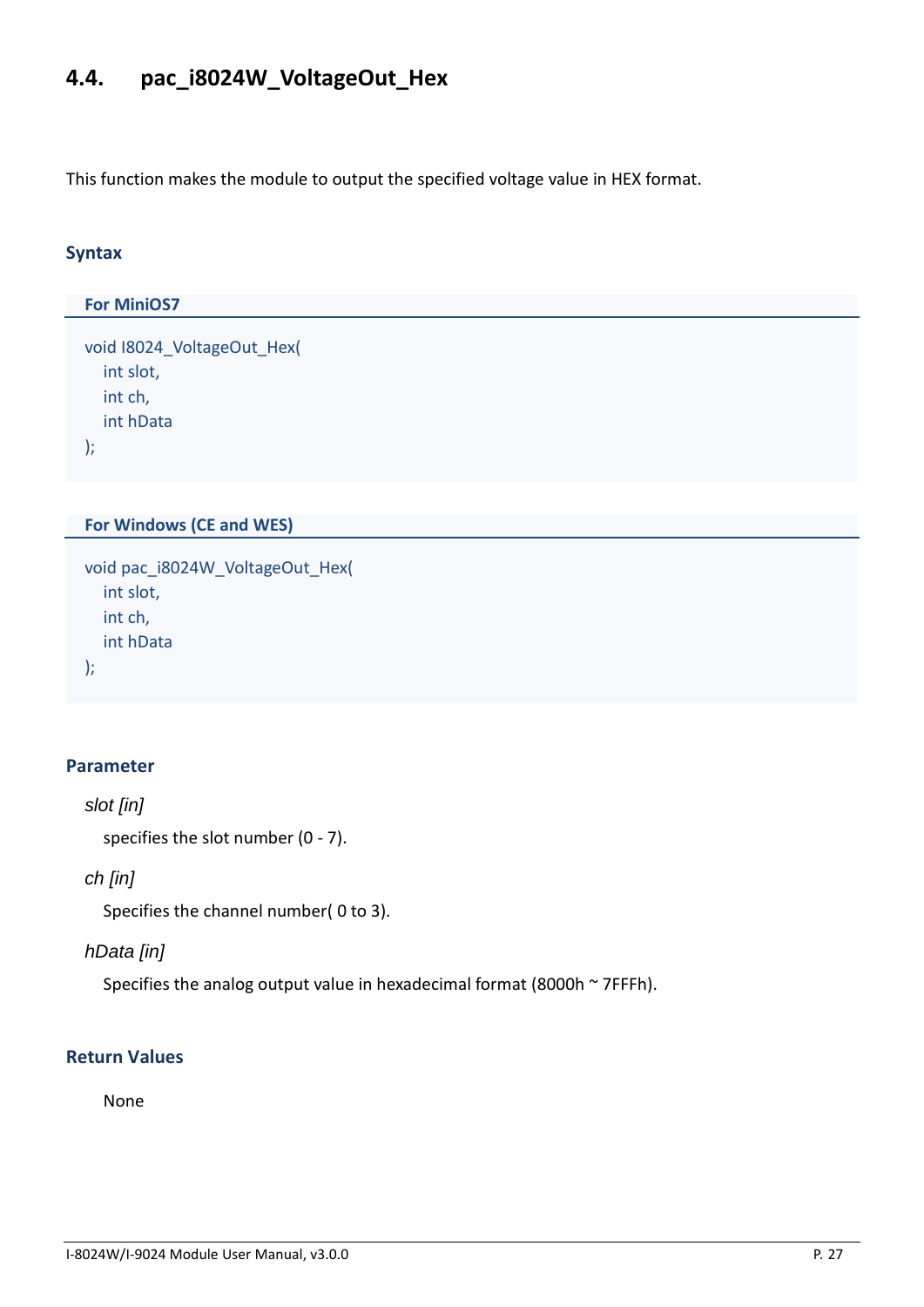# <span id="page-26-0"></span>**4.4. pac\_i8024W\_VoltageOut\_Hex**

This function makes the module to output the specified voltage value in HEX format.

### **Syntax**

# **For MiniOS7**  void I8024\_VoltageOut\_Hex( int slot, int ch, int hData );

### **For Windows (CE and WES)**

```
void pac_i8024W_VoltageOut_Hex(
  int slot,
  int ch,
  int hData
);
```
### **Parameter**

```
slot [in]
```
specifies the slot number (0 - 7).

### *ch [in]*

Specifies the channel number( 0 to 3).

### *hData [in]*

Specifies the analog output value in hexadecimal format (8000h ~ 7FFFh).

### **Return Values**

None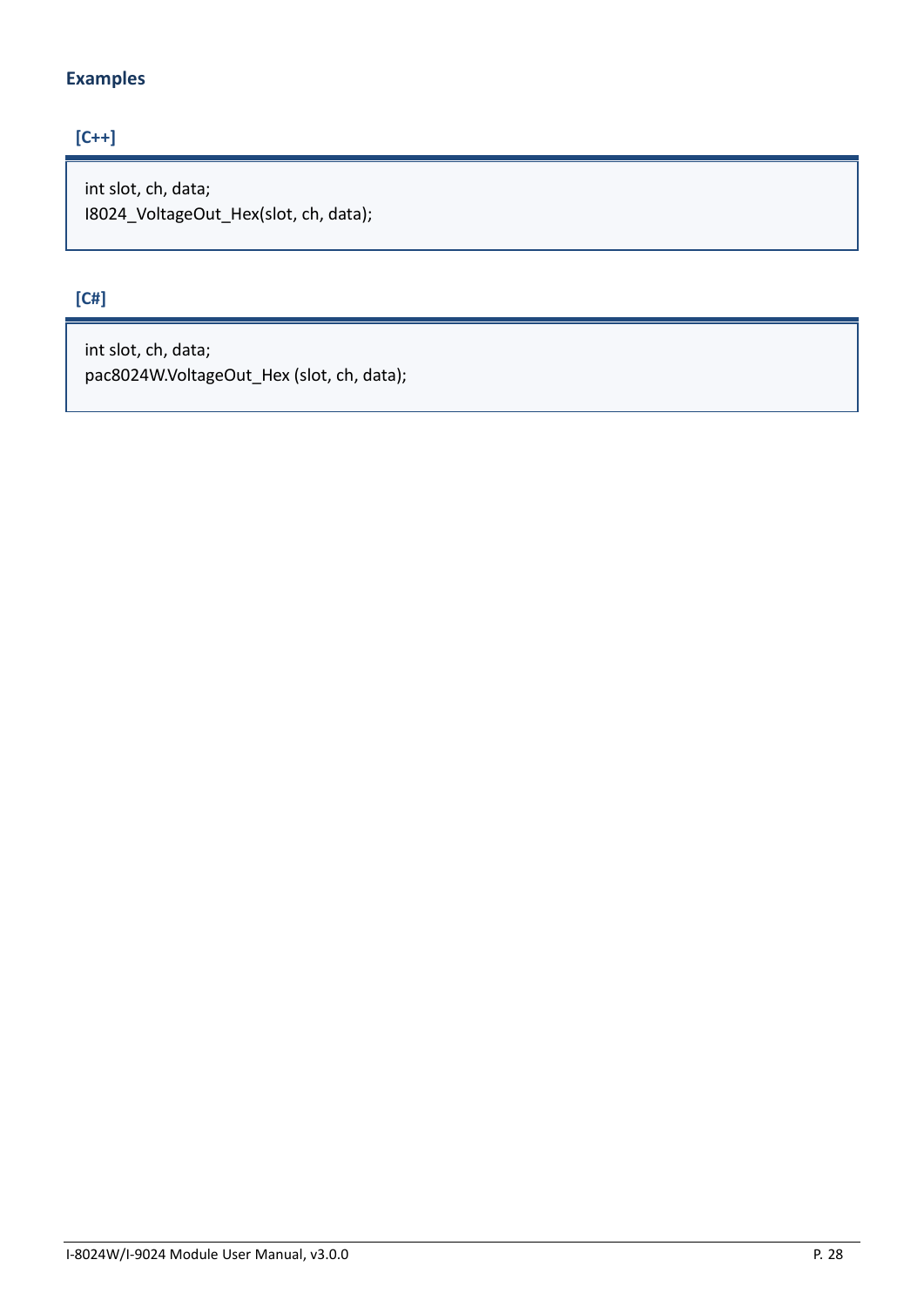## **Examples**

## **[C++]**

int slot, ch, data; I8024\_VoltageOut\_Hex(slot, ch, data);

# **[C#]**

int slot, ch, data; pac8024W.VoltageOut\_Hex (slot, ch, data);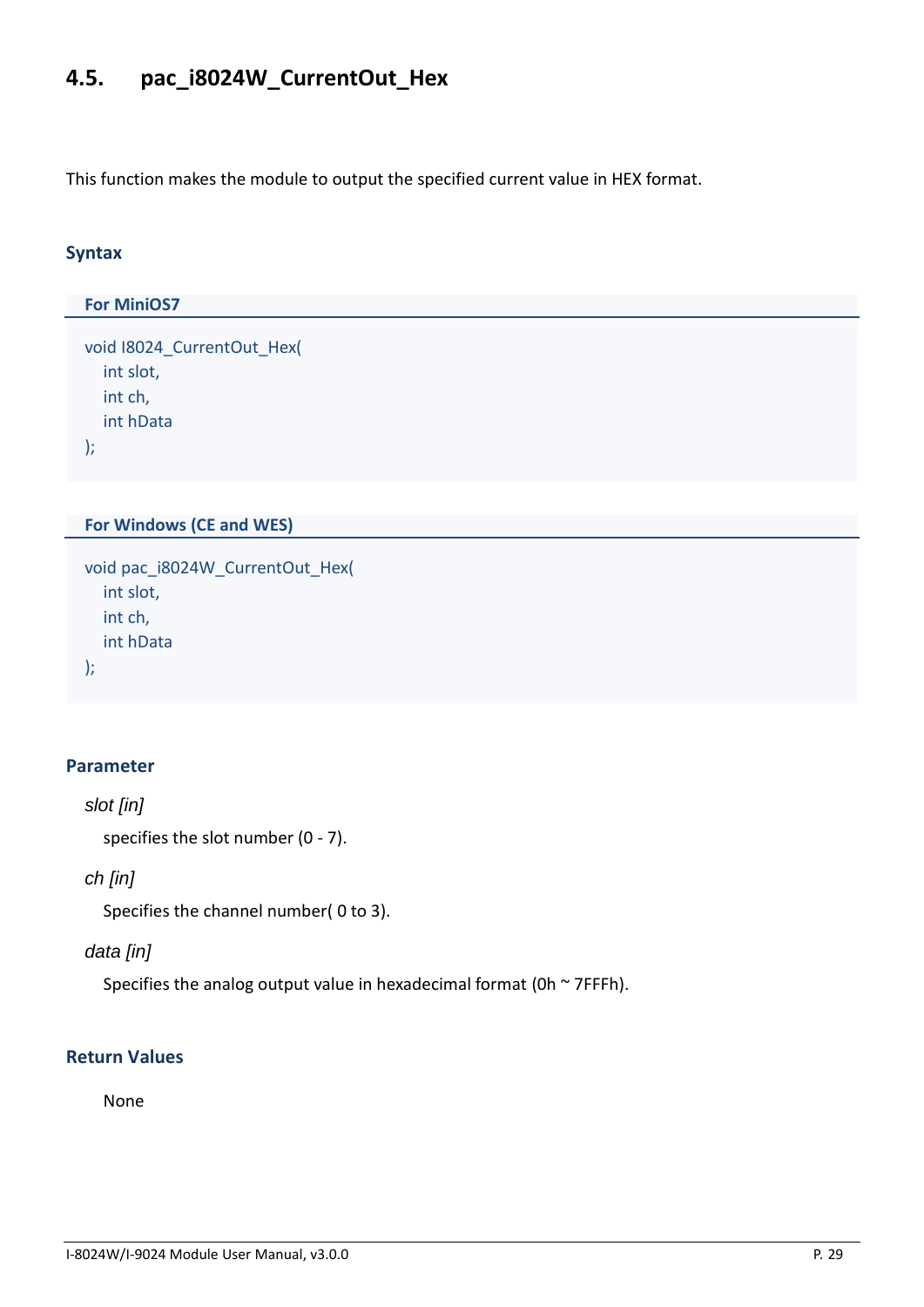# <span id="page-28-0"></span>**4.5. pac\_i8024W\_CurrentOut\_Hex**

This function makes the module to output the specified current value in HEX format.

#### **Syntax**

# **For MiniOS7**  void I8024\_CurrentOut\_Hex( int slot, int ch, int hData );

#### **For Windows (CE and WES)**

```
void pac_i8024W_CurrentOut_Hex(
  int slot,
  int ch,
  int hData
);
```
### **Parameter**

```
slot [in]
```
specifies the slot number (0 - 7).

### *ch [in]*

Specifies the channel number( 0 to 3).

### *data [in]*

Specifies the analog output value in hexadecimal format (0h  $\sim$  7FFFh).

### **Return Values**

None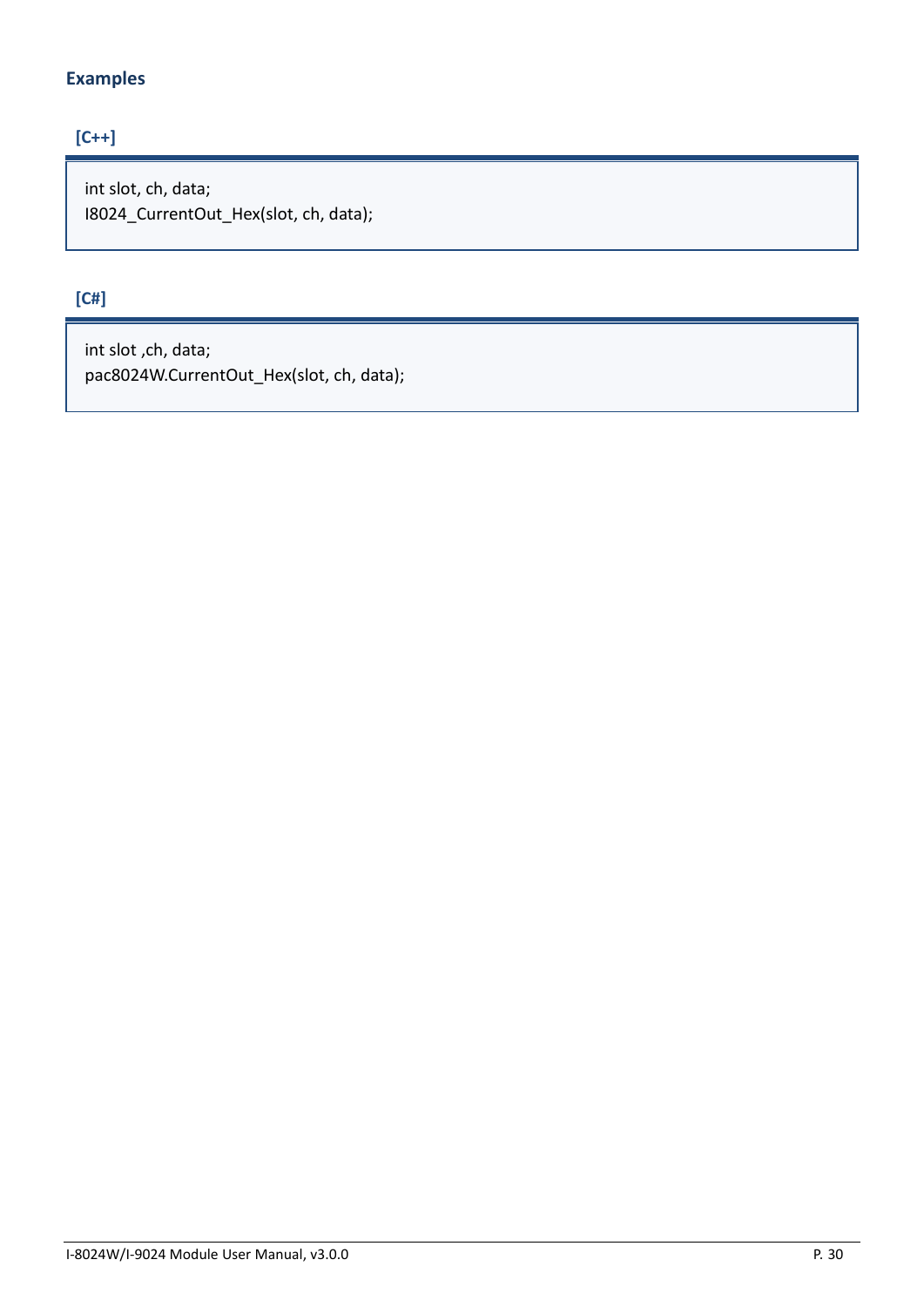## **Examples**

## **[C++]**

int slot, ch, data; I8024\_CurrentOut\_Hex(slot, ch, data);

# **[C#]**

int slot ,ch, data; pac8024W.CurrentOut\_Hex(slot, ch, data);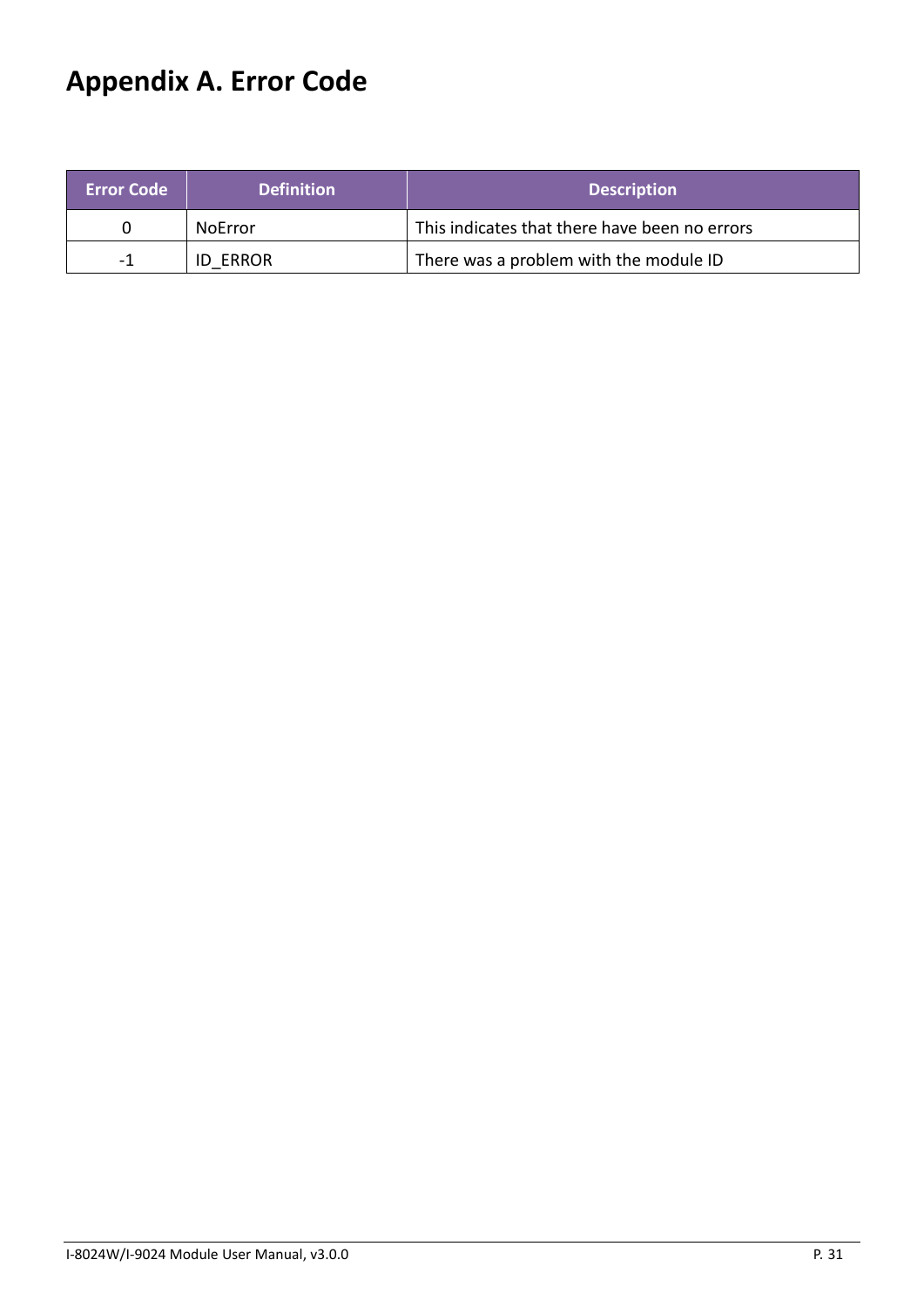# <span id="page-30-0"></span>**Appendix A. Error Code**

| <b>Error Code</b> | <b>Definition</b> | <b>Description</b>                            |
|-------------------|-------------------|-----------------------------------------------|
|                   | <b>NoError</b>    | This indicates that there have been no errors |
| -1                | <b>ID ERROR</b>   | There was a problem with the module ID        |